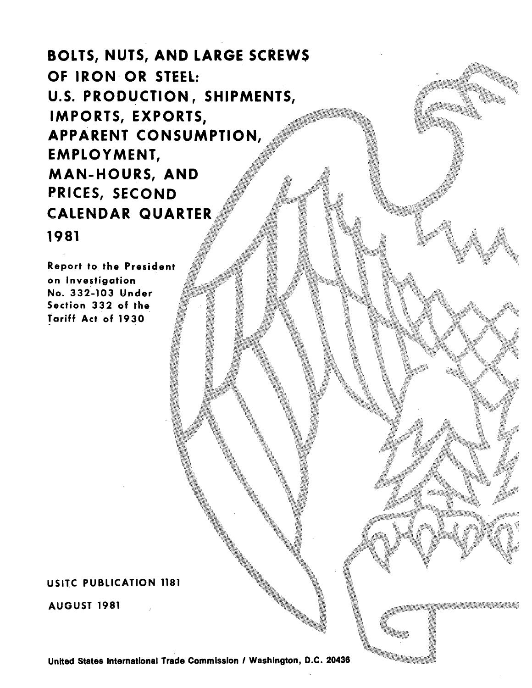BOLTS, NUTS, AND LARGE SCREWS OF IRON· OR STEEL: U.S. PRODUCTION, SHIPMENTS, IMPORTS, EXPORTS, APPARENT CONSUMPTION, . EMPLOYMENT, MAN-HOURS, AND PRICES, SECOND CALENDAR QUARTER 1981

Report to the President on Investigation No. 332-103 Under Section 332 of the Tariff Act of 1930

## USITC PUBLICATION 1181

AUGUST 1981

United States International Trade Commission I Washington, D.C. 20436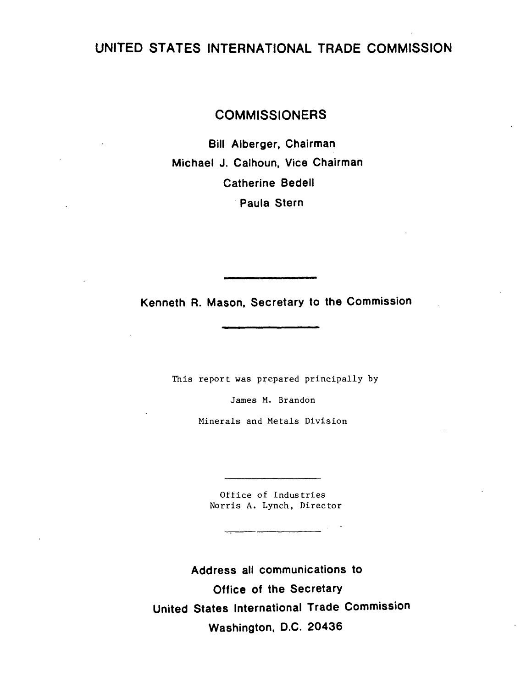# UNITED STATES INTERNATIONAL TRADE COMMISSION

# **COMMISSIONERS**

Bill Alberger, Chairman Michael J. Calhoun, Vice Chairman Catherine Bedell · Paula Stern

Kenneth R. Mason, Secretary to the Commission

This report was prepared principally by

James M. Brandon

Minerals and Metals Division

Office of Industries Norris A. Lynch, Director

\_\_\_\_\_\_\_\_\_\_\_\_\_\_\_\_\_\_\_\_\_

Address all communications to Office of the Secretary United States International Trade Commission Washington, D.C. 20436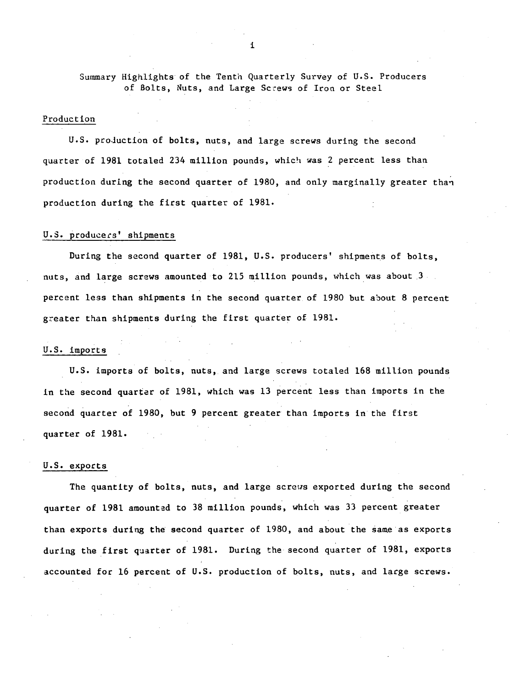Summary Highlights of the Tenth Quarterly Survey of U.S. Producers of Bolts, Nuts, and Large Screws of Iron or Steel

#### Production

U.S. pro.luction of bolts, nuts, and large screws during the second quarter of 1981 totaled 234 million pounds, which *was* 2 percent less than production during the second quarter of 1980, and only marginally greater than production during the first quarter of 1981.

### U.S. producecs' shipments

During the second quarter of 1981, U.S. producers' shipments of bolts, nuts, and large screws amounted to 215 million pounds, which was about 3 percent less than shipments in the second quarter of 1980 but about 8 percent greater than shipments during the first quarter of 1981.

#### U.S. imports

U.S. imports of bolts, nuts, and large screws totaled 168 million pounds in the second quarter of 1981, which was 13 percent less than imports in the second quarter of 1980, but 9 percent greater than imports in the first quarter of 1981.

#### U.S. exports

The quantity of bolts, nuts, and large screws exported during the second quarter of 1981 amounted to 38 million pounds, which was 33 percent greater than exports during the second quarter of 1980, and about the same as exports during the first quarter of 1981. During the second quarter of 1981, exports accounted for 16 percent of U.S. production of bolts, nuts, and large screws.

i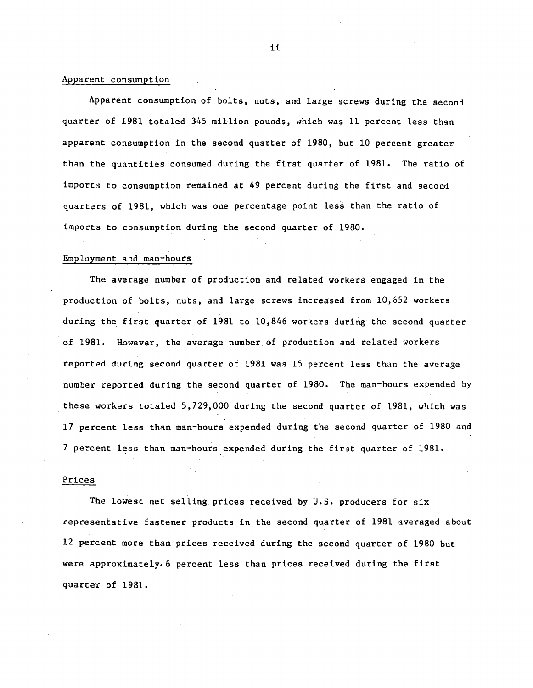#### Apparent consumption

Apparent consumption of bolts, nuts, and large screws during the second quarter of 1981 totaled 345 million pounds, which was 11 percent less than apparent consumption in the second quarter-of 1980, but 10 percent greater than the quantities consumed during the first quarter of 1981. The ratio of imports to consumption remained at 49 percent during the first and second quarters of 1981, which was one percentage point less than the ratio of imports to consumption during the second quarter of 1980.

#### Employment and man-hours

The average number of production and related workers engaged in the production of bolts, nuts, and large screws increased from  $10,652$  workers during the first quarter of 1981 to  $10,846$  workers during the second quarter of 1981. However, the average number of production and related workers reported during second quarter of 1981 was 15 percent less than the average number reported during the second quarter of 1980. The man-hours expended by these workers totaled 5,729,000 during the second quarter of 1981, which was 17 percent less than man-hours expended during the second quarter of 1980 and 7 percent less than man-hours expended during the first quarter of 1981.

#### Prices

The lowest net selling prices received by U.S. producers for six representative fastener products in the second quarter of 1981 averaged about 12 percent more than prices received during the second quarter of 1980 but were approximately· 6 percent less than prices received during the first quarter of 1981.

ii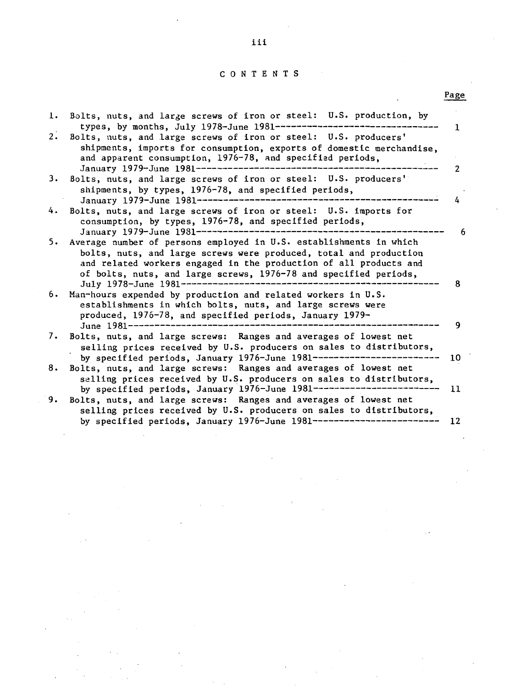## C 0 N T E N T S

 $\sim$ 

Page

| $1$ . | Bolts, nuts, and large screws of iron or steel: U.S. production, by                                |                |
|-------|----------------------------------------------------------------------------------------------------|----------------|
|       | types, by months, July 1978-June 1981------                                                        | 1.             |
| 2.    | Bolts, nuts, and large screws of iron or steel: U.S. producers'                                    |                |
|       | shipments, imports for consumption, exports of domestic merchandise.                               |                |
|       | and apparent consumption, 1976-78, and specified periods,                                          |                |
|       | January 1979-June 1981-------------------------------                                              | $\overline{2}$ |
| 3.    | Bolts, nuts, and large screws of iron or steel: U.S. producers'                                    |                |
|       | shipments, by types, 1976-78, and specified periods,                                               |                |
|       | January 1979-June 1981----                                                                         |                |
| 4.    | Bolts, nuts, and large screws of iron or steel: U.S. imports for                                   |                |
|       | consumption, by types, 1976-78, and specified periods,                                             |                |
|       | January 1979-June 1981----                                                                         | 6              |
| 5.    | Average number of persons employed in U.S. establishments in which                                 |                |
|       | bolts, nuts, and large screws were produced, total and production                                  |                |
|       | and related workers engaged in the production of all products and                                  |                |
|       | of bolts, nuts, and large screws, 1976-78 and specified periods,                                   |                |
| 6.    | July 1978-June 1981---------------<br>Man-hours expended by production and related workers in U.S. | 8              |
|       | establishments in which bolts, nuts, and large screws were                                         |                |
|       | produced, 1976-78, and specified periods, January 1979-                                            |                |
|       | June 1981----------                                                                                | 9              |
| 7.    | Bolts, nuts, and large screws: Ranges and averages of lowest net                                   |                |
|       | selling prices received by U.S. producers on sales to distributors,                                |                |
|       | by specified periods, January 1976-June 1981---------------------                                  | 10             |
| 8.    | Bolts, nuts, and large screws: Ranges and averages of lowest net                                   |                |
|       | selling prices received by U.S. producers on sales to distributors,                                |                |
|       | by specified periods, January 1976-June 1981-------------------------                              | 11             |
| 9.    | Bolts, nuts, and large screws: Ranges and averages of lowest net                                   |                |
|       | selling prices received by U.S. producers on sales to distributors,                                |                |
|       | by specified periods, January 1976-June 1981-------------------------                              | 12             |
|       |                                                                                                    |                |

iii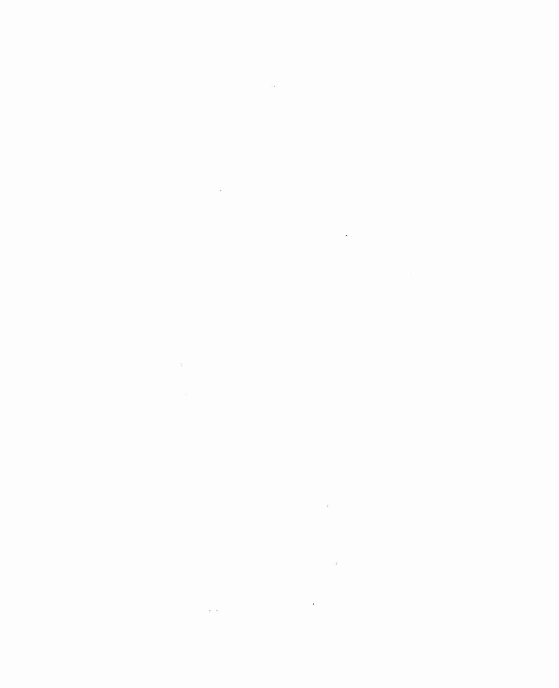$\label{eq:2.1} \frac{1}{\sqrt{2}}\int_{\mathbb{R}^3}\frac{1}{\sqrt{2}}\left(\frac{1}{\sqrt{2}}\right)^2\frac{1}{\sqrt{2}}\left(\frac{1}{\sqrt{2}}\right)^2\frac{1}{\sqrt{2}}\left(\frac{1}{\sqrt{2}}\right)^2\frac{1}{\sqrt{2}}\left(\frac{1}{\sqrt{2}}\right)^2\frac{1}{\sqrt{2}}\left(\frac{1}{\sqrt{2}}\right)^2\frac{1}{\sqrt{2}}\frac{1}{\sqrt{2}}\frac{1}{\sqrt{2}}\frac{1}{\sqrt{2}}\frac{1}{\sqrt{2}}\frac{1}{\sqrt{2}}$  $\label{eq:2.1} \frac{1}{\sqrt{2}}\left(\frac{1}{\sqrt{2}}\right)^{2} \left(\frac{1}{\sqrt{2}}\right)^{2} \left(\frac{1}{\sqrt{2}}\right)^{2} \left(\frac{1}{\sqrt{2}}\right)^{2} \left(\frac{1}{\sqrt{2}}\right)^{2} \left(\frac{1}{\sqrt{2}}\right)^{2} \left(\frac{1}{\sqrt{2}}\right)^{2} \left(\frac{1}{\sqrt{2}}\right)^{2} \left(\frac{1}{\sqrt{2}}\right)^{2} \left(\frac{1}{\sqrt{2}}\right)^{2} \left(\frac{1}{\sqrt{2}}\right)^{2} \left(\$  $\label{eq:2.1} \frac{1}{\sqrt{2}}\left(\frac{1}{\sqrt{2}}\right)^{2} \left(\frac{1}{\sqrt{2}}\right)^{2} \left(\frac{1}{\sqrt{2}}\right)^{2} \left(\frac{1}{\sqrt{2}}\right)^{2} \left(\frac{1}{\sqrt{2}}\right)^{2} \left(\frac{1}{\sqrt{2}}\right)^{2} \left(\frac{1}{\sqrt{2}}\right)^{2} \left(\frac{1}{\sqrt{2}}\right)^{2} \left(\frac{1}{\sqrt{2}}\right)^{2} \left(\frac{1}{\sqrt{2}}\right)^{2} \left(\frac{1}{\sqrt{2}}\right)^{2} \left(\$  $\label{eq:2.1} \begin{split} \mathcal{L}_{\text{max}}(\mathbf{r}) & = \frac{1}{2} \sum_{i=1}^{N} \mathcal{L}_{\text{max}}(\mathbf{r}) \mathcal{L}_{\text{max}}(\mathbf{r}) \\ & = \frac{1}{2} \sum_{i=1}^{N} \mathcal{L}_{\text{max}}(\mathbf{r}) \mathcal{L}_{\text{max}}(\mathbf{r}) \mathcal{L}_{\text{max}}(\mathbf{r}) \mathcal{L}_{\text{max}}(\mathbf{r}) \mathcal{L}_{\text{max}}(\mathbf{r}) \mathcal{L}_{\text{max}}(\mathbf{r}) \mathcal{L}_{\text{max}}(\mathbf$  $\mathcal{L}^{\text{max}}_{\text{max}}$  and  $\mathcal{L}^{\text{max}}_{\text{max}}$ 

 $\label{eq:2.1} \frac{1}{\sqrt{2}}\int_{\mathbb{R}^3}\frac{1}{\sqrt{2}}\left(\frac{1}{\sqrt{2}}\right)^2\frac{1}{\sqrt{2}}\left(\frac{1}{\sqrt{2}}\right)^2\frac{1}{\sqrt{2}}\left(\frac{1}{\sqrt{2}}\right)^2\frac{1}{\sqrt{2}}\left(\frac{1}{\sqrt{2}}\right)^2.$ 

 $\mathcal{L}^{\text{max}}_{\text{max}}$  and  $\mathcal{L}^{\text{max}}_{\text{max}}$  $\mathcal{L}^{\text{max}}_{\text{max}}$  and  $\mathcal{L}^{\text{max}}_{\text{max}}$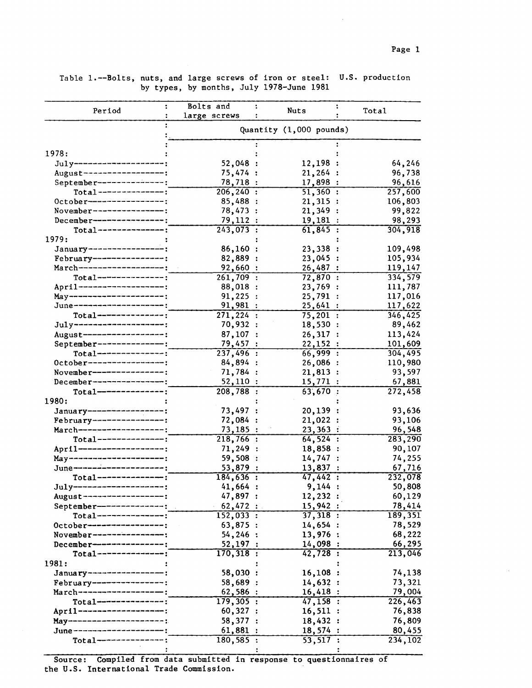Table 1.--Bolts, nuts, and large screws of iron or steel: U.S. production by types, by months, July 1978-June 1981

| $\ddot{\phantom{a}}$<br>Period | Bolts and<br>÷<br>large screws | Nuts                     | Total   |
|--------------------------------|--------------------------------|--------------------------|---------|
|                                |                                | Quantity (1,000 pounds)  |         |
| 1978:                          |                                |                          |         |
| July-------------------        | 52,048:                        | 12,198:                  | 64,246  |
| August------------------       | 75,474                         | 21,264:                  | 96,738  |
| September---------------       | 78,718 :                       | 17,898:                  | 96,616  |
| Total--------------;           | 206, 240:                      | 51,360:                  | 257,600 |
| October------------------      | 85,488:                        | 21,315:                  | 106,803 |
| November-----------------      | 78,473 :                       | 21,349:                  | 99,822  |
| December----------------;      | 79,112 :                       | 19,181                   | 98,293  |
| $Total-----$                   | 243,073:                       | 61,845:                  | 304,918 |
| 1979:                          |                                |                          |         |
| January---------------         | 86,160:                        | 23,338:                  | 109,498 |
| February----------------:      | 82,889<br>$\ddot{\phantom{a}}$ | 23,045<br>:              | 105,934 |
| March-------------------;      | 92,660:                        | 26,487:                  | 119,147 |
| $Total-----$                   | 261,709:                       | 72,870 :                 | 334,579 |
| April-------------------;      | 88,018 :                       | 23,769:                  | 111,787 |
| May----------------------;     | 91,225:                        | 25,791                   | 117,016 |
| June------------------         | 91,981:                        | 25,641:                  | 117,622 |
| $Total-----$                   | 271, 224:                      | 75,201:                  | 346,425 |
| July--------------------;      | 70,932                         | 18,530:                  | 89,462  |
| August------------------:      | 87,107 :                       | 26,317:                  | 113,424 |
| September-------------         | 79,457:                        | 22,152                   | 101,609 |
| Total--------------:           | 237,496 :                      | 66,999:                  | 304,495 |
| 0ctober------------------      | 84,894<br>. .                  | 26,086:                  | 110,980 |
| November----------------;      | 71,784 :                       | 21,813:                  | 93,597  |
| December------------           | 52,110:                        | 15,771                   | 67,881  |
| $Total-----$                   | 208,788 :                      | 63,670 :                 | 272,458 |
| 1980:                          |                                |                          |         |
| January--------------          | 73,497<br>$\ddot{\cdot}$       | 20, 139:                 | 93,636  |
| February-------------          | 72,084<br>$\ddot{\cdot}$       | 21,022<br>$\ddot{\cdot}$ | 93,106  |
| March-----------------         | 73,185:                        | 23,363                   | 96,548  |
| $Total-----$                   | 218,766:                       | 64, 524:                 | 283,290 |
| April --------------------;    | 71,249:                        | 18,858:                  | 90,107  |
| May----------------------      | 59,508:                        | 14,747:                  | 74,255  |
| June-------------------;       | 53,879 :                       | 13,837                   | 67,716  |
| $Total-----$                   | 184,636:                       | 47,442:                  | 232,078 |
| July--------------------:      | 41,664 :                       | 9,144:                   | 50,808  |
| August -------------------:    | 47,897 :                       | 12,232:                  | 60,129  |
| September--------------:       | 62,472:                        | 15,942:                  | 78,414  |
| $Total-----$                   | 152,033:                       | 37,318:                  | 189,351 |
| 0ctober------------------      | 63,875:                        | 14,654:                  | 78,529  |
| November-----------------      | 54, 246:                       | 13,976:                  | 68,222  |
| December----------------;      | 52, 197:                       | 14,098:                  | 66,295  |
| $Total-----$                   | $170, 318$ :                   | 42,728:                  | 213,046 |
| 1981:                          |                                |                          |         |
| January-----------------:      | 58,030:                        | 16,108:                  | 74,138  |
| February-----------------:     | 58,689:                        | 14,632:                  | 73,321  |
| March-------------------       | 62,586:                        | 16,418:                  | 79,004  |
| $Total$ ---------------        | 179,305:                       | 47,158:                  | 226,463 |
| April--------------------      | 60,327:                        | 16,511:                  | 76,838  |
| May----------------------;     | 58,377:                        | 18,432:                  | 76,809  |
| June-------------------        | 61,881:                        | 18,574:                  | 80,455  |
| Total--------------:           | 180,585:                       | 53,517:                  | 234,102 |
|                                |                                |                          |         |

Source: Compiled from data submitted in response to questionnaires of the U.S. International Trade Commission.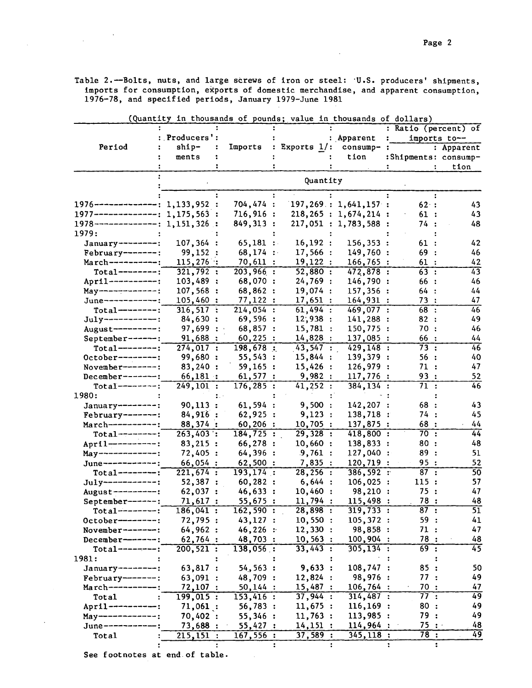Table 2.-Bolts, nuts, and large screws of iron or steel: 'U.S. producers' shipments, imports for consumption, exports of domestic merchandise, and apparent consumption, 1976-78, and specified periods, January 1979-June 1981

|                                   |                        |                 |               |                          | : Ratio (percent) of |                 |
|-----------------------------------|------------------------|-----------------|---------------|--------------------------|----------------------|-----------------|
|                                   | Producers':            |                 |               | : Apparent               | imports to--         |                 |
| Period                            | $ship-$                | Imports         | : Exports 1/: | $consump-$ :             |                      | : Apparent      |
|                                   | ments                  |                 |               | tion                     | :Shipments: consump- |                 |
|                                   |                        |                 |               |                          | :                    | tion            |
|                                   |                        |                 | Quantity      |                          |                      |                 |
|                                   |                        |                 |               |                          |                      |                 |
|                                   |                        |                 |               |                          |                      |                 |
|                                   |                        | 704,474:        |               | 197,269:1,641,157:       | 62:                  | 43              |
| $1977$ -------------: 1,175,563 : |                        | 716,916:        |               | 218, 265 : 1, 674, 214 : | 61:                  | 43              |
| $1978$ --------------: 1,151,326: |                        | 849,313:        |               | 217,051 : 1,783,588 :    | 74 :                 | 48              |
| 1979:                             |                        |                 |               |                          |                      |                 |
| January---------:                 | 107,364:               | $65,181$ :      | 16,192:       | 156,353:                 | 61:                  | 42              |
| February-------:                  | 99, 152:               | $68,174$ :      | 17,566:       | 149,760:                 | 69:                  | 46              |
| $March$ ---------:                | $115,276$ :            | 70,611:         | 19,122:       | 166,765:                 | 61:                  | 42              |
| $Total-----:$                     | 321,792:               | $203,966$ :     | 52,880:       | 472,878:                 | 63:                  | $\overline{43}$ |
| April----------:                  | 103,489:               | 68,070:         | 24,769:       | 146,790:                 | 66 :                 | 46              |
| $May-----------:$                 | 107,568:               | 68,862 :        | 19,074:       | 157,356 :                | 64:                  | 44              |
| June-----------:                  | 105,460:               | 77,122:         | 17,651:       | 164,931:                 | 73:                  | 47              |
| $Total-----:$                     | 316, 517:              | 214,054:        | 61,494:       | 469,077:                 | 68 :                 | 46              |
| July-----------:                  | 84,630:                | 69,596:         | 12,938:       | 141,288:                 | 82:                  | 49              |
| August----------:                 | 97,699                 | 68,857:<br>2.11 | 15,781:       | 150,775 :                | 70:                  | 46              |
| September------:                  | 91,688 :               | 60, 225:        | 14,828:       | 137,085:                 | 66 :                 | 44              |
| $Total-----:$                     | 274,017:               | 198,678:        | 43,547:       | 429,148:                 | 73 :                 | 46              |
| $October-----:$                   | 99,680:                | 55,543:         | 15,844:       | 139,379 :                | 56:                  | 40              |
| November-------:                  | 83,240:                | 59, 165:        | 15,426:       | 126,979 :                | 71:                  | 47              |
| $December-----:$                  | 66,181:                | 61,577:         | 9,982:        | 117,776:                 | 93:                  | 52              |
| $Total-----:$                     | 249, 101:              | 176, 285:       | 41,252:       | 384, 134:                | 71:                  | 46              |
| 1980:                             |                        |                 |               |                          |                      |                 |
| January--------:                  | 90, 113:               | 61,594:         | 9,500:        | 142,207:                 | 68:                  | 43              |
| February-------:                  | 84,916:                | 62,925:         | 9,123:        | 138,718 :                | 74:                  | 45              |
| March----------:                  | 88,374 :               | 60,206:         | 10,705:       | 137,875:                 | 68:                  | 44              |
| $Total-----:$                     | $263,403$ :            | 184, 725:       | 29,328:       | $418,800$ :              | 70:                  | $44^{2}$        |
| $April-----$                      | 83,215:                | 66,278:         | 10,660:       | 138,833:                 | 80:                  | 48              |
| May------------:                  | 72,405 :               | 64,396:         | .9,761:       | 127,040 :                | 89:                  | 51              |
| June-----------:                  | 66,054:                | 62,500:         | 7,835:        | 120, 719:                | 95:                  | 52              |
| $Total-----:$                     | $\overline{221,674}$ : | 193, 174:       | 28, 256:      | 386,592:                 | 87:                  | 50              |
| $July---------:$                  | 52,387:                | 60, 282:        | 6,644:        | 106,025:                 | 115:                 | 57              |
| August---------:                  | 62,037:                | 46,633:         | 10,460:       | 98,210 :                 | 75:                  | 47              |
| September------:                  | 71,617:                | 55,675:         | 11,794:       | 115,498:                 | 78:                  | 48              |
| $Total-----:$                     | $186,041$ :            | 162,590:        | $28,898$ :    | $319,733$ :              | 87:                  | 51              |
| $October------:$                  | 72,795:                | 43,127:         | 10,550:       | 105,372:                 | 59:                  | 41              |
| November--------:                 | 64,962:                | $46,226$ :      | 12,330:       | 98,858 :                 | 71:                  | 47              |
| December-------:                  | 62,764:                | 48,703 :        | 10,563:       | 100,904:                 | 78:                  | 48              |
| $Total-----:$                     | $200, 521$ :           | 138,056:        | 33,443:       | 305, 134:                | 69:                  | 45              |
| 1981:                             |                        |                 |               |                          |                      |                 |
| January --------:                 | 63,817 :               | 54, 563:        | 9,633:        | $108,747$ :              | 85:                  | 50              |
| $February-----:$                  | 63,091:                | 48,709:         | 12,824:       | 98,976:                  | 77:                  | 49              |
| $March$ ---------:                | 72,107:                | 50,144:         | 15,487:       | 106,764:                 | 70:                  | 47              |
| Total                             | 199,015:               | 153,416:        | 37,944:       | $314, 487$ :             | 77:                  | 49              |
| April-----------:                 | 71,061:                | 56,783:         | 11,675:       | 116, 169:                | 80:                  | 49              |
| $May --- --- --- --- - - - - - :$ | 70,402:                | 55,346:         | 11,763:       | 113,985:                 | 79:                  | 49              |
| $June --- --- ---$                | 73,688:                | 55,427:         | 14,151:       | 114,964:                 | 75:                  | 48              |
| Total                             | 215,151:               | 167,556:        | 37,589:       | 345,118 :                | 78:                  | $\overline{49}$ |
|                                   |                        |                 | ÷             | $\ddot{\cdot}$           | $\ddot{\cdot}$<br>÷  |                 |

 $\bar{a}$ 

(Quantity in thousands of pounds; value in thousands of dollars)

See footnotes at end.of table.

 $\sim$ 

 $\sim 1$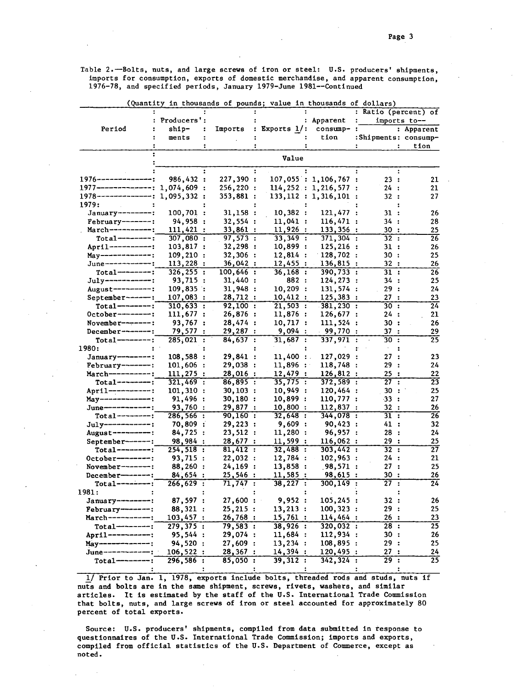Table 2.-Bolts, nuts, and large screws of iron or steel: U.S. producers' shipments, imports for consumption, exports of domestic merchandise, and apparent consumption, 1976-78, and specified periods, January 1979-June 1981--Continued

|                                                                                                           |             |          |               |                        | : Ratio (percent) of                 |                 |  |
|-----------------------------------------------------------------------------------------------------------|-------------|----------|---------------|------------------------|--------------------------------------|-----------------|--|
|                                                                                                           | Producers': |          |               | : Apparent             | imports to--<br>$\ddot{\phantom{a}}$ |                 |  |
| Period                                                                                                    | ship-<br>÷  | Imports  | : Exports 1/: | $cosump-$ :            |                                      | : Apparent      |  |
|                                                                                                           | ments       |          |               | tion                   | :Shipments: consump-                 |                 |  |
|                                                                                                           |             |          |               |                        | ÷                                    | tion            |  |
|                                                                                                           |             |          |               |                        |                                      |                 |  |
|                                                                                                           |             | Value    |               |                        |                                      |                 |  |
|                                                                                                           |             |          |               |                        | $\ddot{\cdot}$                       |                 |  |
| 1976--------------:                                                                                       | 986,432:    | 227,390: |               | 107,055 : 1,106,767 :  | 23 :                                 | 21              |  |
| $1977$ -------------: 1,074,609 :                                                                         |             | 256,220: |               | 114, 252 : 1, 216, 577 | 24 :                                 | 21              |  |
| $1978$ --------------: 1,095,332:<br>1979:                                                                |             | 353,881: |               | 133,112 : 1,316,101    | 32 :                                 | 27              |  |
| January--------:                                                                                          | 100, 701:   | 31,158 : | 10,382:       | 121,477:               | 31 :                                 | 26              |  |
| $February------:$                                                                                         | 94,958 :    | 32,554:  | 11,041:       | 116,471:               | 34:                                  | 28              |  |
| $March$ ----------:                                                                                       | 111,421:    | 33,861:  | 11,926:       | 133,356:               | 30 :                                 | 25              |  |
| Total--------:                                                                                            | 307,080:    | 97,573:  | 33,349:       | 371,304 :              | 32 :                                 | 26              |  |
| April----------:                                                                                          | 103,817:    | 32, 298: | 10,899:       | 125,216:               | 31 :                                 | 26              |  |
| $May----------:$                                                                                          | 109, 210:   | 32,306:  | 12,814:       | 128,702 :              | 30 :                                 | 25              |  |
| June------------                                                                                          | 113,228:    | 36,042:  | 12,455:       | 136,815:               | 32 :                                 | 26              |  |
| <b>Total--------:</b>                                                                                     | 326, 255:   | 100,646: | 36,168:       | 390,733:               | 31 :                                 | 26              |  |
| July-----------:                                                                                          | 93,715:     | 31,440 : | 882 :         | 124, 273:              | 34 :                                 | 25              |  |
| August---------:                                                                                          | 109,835:    | 31,948:  | 10,209:       | 131,574:               | 29:                                  | 24              |  |
| September------:                                                                                          | 107,083:    | 28,712:  | 10,412:       | 125,383 :              | 27:                                  | 23              |  |
| $Total-----:$                                                                                             | 310,633:    | 92,100:  | 21,503:       | $-381,230:$            | 30 :                                 | 24              |  |
| $0ctober \rightarrow \rightarrow \rightarrow \rightarrow \rightarrow \rightarrow \rightarrow \rightarrow$ | 111,677:    | 26,876:  | 11,876:       | 126,677:               | 24 :                                 | 21              |  |
| November-------:                                                                                          | 93,767 :    | 28,474:  | 10,717:       | 111, 524:              | 30 :                                 | 26              |  |
| $December-----$                                                                                           | 79,577 :    | 29,287:  | 9,094:        | - 99,770 :             | 37 :                                 | 29              |  |
| $Total-----:$                                                                                             | 285,021:    | 84,637:  | 31,687:       | 337,971                | $\cdot$ :<br>30 :                    | 25              |  |
| 1980:                                                                                                     |             |          |               |                        |                                      |                 |  |
| $January-----$                                                                                            | 108,588:    | 29,841 : | $11,400$ :    | 127,029:               | 27 :                                 | 23              |  |
| February--------:                                                                                         | 101,606:    | 29,038 : | 11,896:       | 118,748:               | 29<br>$\cdot$ :                      | 24              |  |
| $March$ ---------:                                                                                        | 111,275:    | 28,016:  | 12,479:       | 126,812:               | 25:                                  | 22              |  |
| $Total-----:$                                                                                             | 321,469:    | 86,895 : | 35,775:       | 372,589:               | 27 :                                 | $\overline{23}$ |  |
| April----------:                                                                                          | 101, 310:   | 30,103:  | 10,949:       | 120,464 :              | 30                                   | 25              |  |
| $May - - - - - - - - - :$                                                                                 | 91,496:     | 30,180:  | 10,899:       | 110,777:               | 33:                                  | 27              |  |
| June-----------:                                                                                          | 93,760:     | 29,877:  | 10,800:       | 112,837:               | 32:                                  | 26              |  |
| Total---------:                                                                                           | 286,566:    | 90,160 : | 32,648:       | 344,078:               | 31:                                  | 26              |  |
| July-----------;                                                                                          | 70,809:     | 29,223:  | 9,609 :       | 90,423:                | 41 :                                 | 32              |  |
| August----------:                                                                                         | 84,725:     | 23,512:  | 11,280:       | 96,957:                | 28<br>$\ddot{\cdot}$                 | 24              |  |
| September------:                                                                                          | 98,984 :    | 28,677:  | 11,599:       | 116,062:               | 29:                                  | 25              |  |
| $Total-----:$                                                                                             | 254,518:    | 81,412 : | 32,488:       | 303,442:               | 32 :                                 | $\overline{27}$ |  |
| October--------:                                                                                          | 93,715:     | 22,032:  | 12,784:       | 102,963:               | 24 :                                 | 21              |  |
| $November-----:$                                                                                          | 88,260:     | 24,169:  | 13,858:       | .98,571:               | 27:                                  | 25              |  |
| $December-----:$                                                                                          | 84,654:     | 25,546:  | 11,585:       | 98,615:                | 30 :                                 | 26              |  |
| $Total-----:$                                                                                             | 266,629 :   | 71,747 : | 38,227:       | 300, 149               | 27:<br>$\cdot$                       | 24              |  |
| 1981:                                                                                                     |             |          |               |                        |                                      |                 |  |
| January--------:                                                                                          | 87,597 :    | 27,600:  | 9,952:        | 105, 245:              | 32 :                                 | 26              |  |
| $February \rightarrow \rightarrow \rightarrow \rightarrow \rightarrow \rightarrow$                        | 88,321:     | 25,215:  | 13,213:       | 100, 323:              | 29:                                  | 25              |  |
| March----------:                                                                                          | 103,457:    | 26,768:  | 15,761:       | 114,464:               | 26:                                  | 23              |  |
| $Total-----:$                                                                                             | 279,375:    | 79,583:  | 38,926:       | 320,032:               | 28:                                  | 25              |  |
| April ----------:                                                                                         | 95,544:     | 29,074 : | 11,684:       | 112,934:               | 30:                                  | 26              |  |
| May------------:                                                                                          | 94,520:     | 27,609:  | 13,234:       | 108,895:               | 29:                                  | 25              |  |
| June-----------:                                                                                          | 106, 522:   | 28,367:  | 14,394:       | 120,495:               | 27:                                  | 24              |  |
| $Total-----:$                                                                                             | 296,586:    | 85,050:  | 39,312:       | 342, 324:              | 29:                                  | $\overline{25}$ |  |
|                                                                                                           |             |          |               |                        |                                      |                 |  |

(Quantity in thousands of pounds; value in thousands of dollars)

1/ Prior to Jan. 1, 1978, exports include bolts, threaded rods and studs, nuts if nuts and bolts are in the same shipment, screws, rivets, washers, and similar articles. It is estimated by the staff of the U.S. International Trade Commission that bolts, nuts, and large screws of iron or steel accounted for approximately 80 percent of total exports.

Source: U.S. producers' shipments, compiled from data submitted in response to questionnaires of the U.S. International Trade Commission; imports and exports, compiled from official statistics of the U.S. Department of Commerce, except as noted.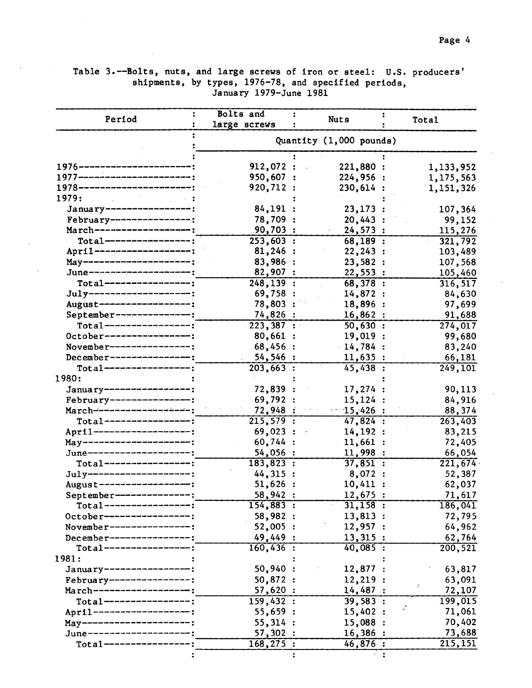|                                                                                                                                               | Bolts and    |                                      |           |  |  |  |  |  |
|-----------------------------------------------------------------------------------------------------------------------------------------------|--------------|--------------------------------------|-----------|--|--|--|--|--|
| Period                                                                                                                                        | large screws | Nuts                                 | Total     |  |  |  |  |  |
|                                                                                                                                               |              | Quantity (1,000 pounds)              |           |  |  |  |  |  |
|                                                                                                                                               |              |                                      |           |  |  |  |  |  |
| $1976 - - - - - - - -$                                                                                                                        | 912,072      | 221,880:                             | 1,133,952 |  |  |  |  |  |
| 1977--------------------                                                                                                                      | 950,607 :    | 224,956                              | 1,175,563 |  |  |  |  |  |
| 1978-----------                                                                                                                               | 920,712 :    | 230,614                              | 1,151,326 |  |  |  |  |  |
| 1979:                                                                                                                                         |              |                                      |           |  |  |  |  |  |
| January---------------                                                                                                                        | 84,191:      | 23,173                               | 107,364   |  |  |  |  |  |
| February-------------                                                                                                                         | 78,709:      | 20,443                               | 99,152    |  |  |  |  |  |
| March-----------------                                                                                                                        | 90,703:      | 24,573:                              | 115,276   |  |  |  |  |  |
| $Total \rightarrow \rightarrow \rightarrow \rightarrow \rightarrow \rightarrow \rightarrow \rightarrow \rightarrow \rightarrow \rightarrow$ : | 253,603:     | 68,189:                              | 321,792   |  |  |  |  |  |
| April----------------                                                                                                                         | $81,246$ :   | 22, 243:                             | 103,489   |  |  |  |  |  |
| May-----------------------                                                                                                                    | 83,986 :     | 23,582:                              | 107,568   |  |  |  |  |  |
| June-------------------                                                                                                                       | 82,907:      | 22,553:                              | 105,460   |  |  |  |  |  |
| $Total$ -----------------;                                                                                                                    | 248, 139:    | 68,378 :                             | 316, 517  |  |  |  |  |  |
| July--------------------;                                                                                                                     | 69,758 :     | 14,872<br>$\cdot$ :                  | 84,630    |  |  |  |  |  |
| August------------------;                                                                                                                     | 78,803 :     | 18,896<br>$\ddot{\cdot}$             | 97,699    |  |  |  |  |  |
| September--------------                                                                                                                       | 74,826 :     | 16,862:                              | 91,688    |  |  |  |  |  |
| $Total$ -----------------;                                                                                                                    | 223,387:     | 50,630:                              | 274,017   |  |  |  |  |  |
| October------------------:                                                                                                                    | $80,661$ :   | 19,019<br>$\ddot{\cdot}$             | 99,680    |  |  |  |  |  |
| November-------------                                                                                                                         | 68,456:      | $-14,784$ :                          | 83,240    |  |  |  |  |  |
| $December$ -------------                                                                                                                      | 54,546:      | 11,635:                              | 66,181    |  |  |  |  |  |
| $Total$ --------------                                                                                                                        | 203,663:     | 45,438:                              | 249, 101  |  |  |  |  |  |
| 1980:                                                                                                                                         |              |                                      |           |  |  |  |  |  |
| January-----------------;                                                                                                                     | 72,839 :     | 17,274:                              | 90,113    |  |  |  |  |  |
| February----------------                                                                                                                      | 69,792 :     | 15, 124:                             | 84,916    |  |  |  |  |  |
| March--------------------                                                                                                                     | 72,948:      | $-15,426$ :                          | 88,374    |  |  |  |  |  |
| $Total-----$                                                                                                                                  | 215,579:     | 47,824:                              | 263,403   |  |  |  |  |  |
| April -------------------;                                                                                                                    | 69,023:      | 14, 192:<br>$\overline{\phantom{a}}$ | 83,215    |  |  |  |  |  |
| May----------------------;                                                                                                                    | 60,744:      | $11,661$ :                           | 72,405    |  |  |  |  |  |
| June---------------------                                                                                                                     | 54,056:      | 11,998:                              | 66,054    |  |  |  |  |  |
| $Total$ -------------------                                                                                                                   | $183,823$ :  | 37,851:                              | 221,674   |  |  |  |  |  |
| July--------------------;                                                                                                                     | 44,315:      | 8,072:                               | 52,387    |  |  |  |  |  |
| August------------------                                                                                                                      | 51,626:      | 10,411                               | 62,037    |  |  |  |  |  |
| September---------------:                                                                                                                     | 58,942       | 12,675:                              | 71,617    |  |  |  |  |  |
| $Total-----$                                                                                                                                  | 154,883:     | $31,158$ :                           | 186,041   |  |  |  |  |  |
| October----------                                                                                                                             | 58,982 :     | 13,813:                              | 72,795    |  |  |  |  |  |
| November-----------                                                                                                                           | 52,005:      | 12,957                               | 64,962    |  |  |  |  |  |
| December----------                                                                                                                            | 49,449:      | 13,315:                              | 62,764    |  |  |  |  |  |
| $Total-----$                                                                                                                                  | $160,436$ :  | 40,085:                              | 200,521   |  |  |  |  |  |
| 1981:                                                                                                                                         |              |                                      |           |  |  |  |  |  |
| January--------------                                                                                                                         | 50,940 :     | 12,877                               | 63,817    |  |  |  |  |  |
| February------------                                                                                                                          | 50,872 :     | 12,219                               | 63,091    |  |  |  |  |  |
| March---------------                                                                                                                          | 57,620:      | 14,487                               | 72,107    |  |  |  |  |  |
|                                                                                                                                               | 159,432:     | 39,583:                              | 199,015   |  |  |  |  |  |
| April----------------                                                                                                                         | 55,659:      | 15,402:                              | 71,061    |  |  |  |  |  |
| May-----------------                                                                                                                          | 55,314:      | 15,088:                              | 70,402    |  |  |  |  |  |
| $June-----$                                                                                                                                   | 57,302:      | 16,386:                              | 73,688    |  |  |  |  |  |
| $Total--$                                                                                                                                     | 168,275:     | $46,876$ :                           | 215, 151  |  |  |  |  |  |
|                                                                                                                                               |              |                                      |           |  |  |  |  |  |

Table 3.--Bolts, nuts, and large screws of iron or steel: U.S. producers' shipments, by types, 1976-78, and specified periods, January 1979-June 1981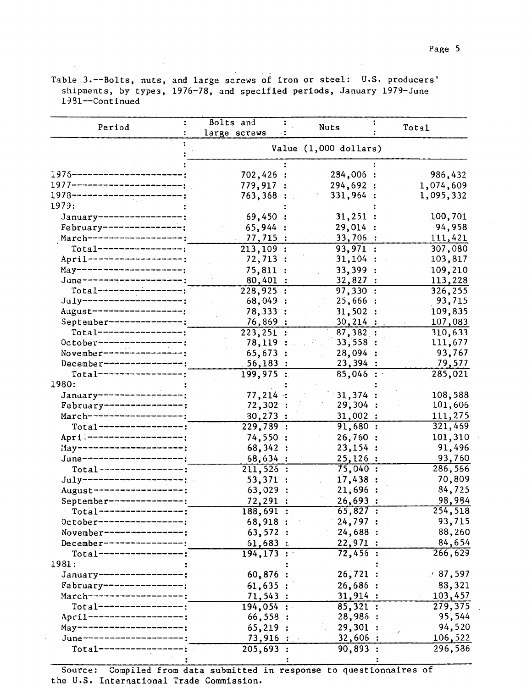Table 3.--Bolts, nuts, and large screws of iron or steel: U.S. producers' shipments, by types, 1976-78, and specified periods, January 1979-June 1981--Continued

| Period                                                                                                                                      | Bolts and<br>large screws | <b>Nuts</b>            | Total        |
|---------------------------------------------------------------------------------------------------------------------------------------------|---------------------------|------------------------|--------------|
|                                                                                                                                             |                           | Value (1,000 dollars)  |              |
|                                                                                                                                             |                           |                        |              |
| $1976$ --------                                                                                                                             | 702,426                   | 284,006                | 986,432      |
| 1977-------------------                                                                                                                     | 779,917                   | 294,692 :              | 1,074,609    |
| $1978 - - - - - - - - - -$                                                                                                                  | 763,368                   | 331,964                | 1,095,332    |
| 1979:                                                                                                                                       |                           |                        |              |
| January--------------                                                                                                                       | 69,450                    | 31,251:                | 100,701      |
| February--------------                                                                                                                      | 65,944                    | 29,014:                | 94,958       |
| March------------------                                                                                                                     | 77,715 :                  | $33,706$ :             | 111,421      |
| $Total-----$                                                                                                                                | 213, 109:                 | 93,971 :               | 307,080      |
| April -----------------                                                                                                                     | 72,713 :                  | 31,104:                | 103,817      |
| $May-----------------------$                                                                                                                | 75,811<br>$\cdot$ :       | 33,399:                | 109,210      |
| June ------------------                                                                                                                     | 80,401                    | 32,827:                | 113,228      |
| $Total-----$                                                                                                                                | 228,925:                  | 97,330:                | 326,255      |
| $J$ u 1y ------------------                                                                                                                 | 68,049:                   | 25,666:                | 93,715       |
| August---------------                                                                                                                       | 78,333<br>ं :             | 31,502:                | 109,835      |
| September-----------                                                                                                                        | 76,869:                   | $30,214$ :             | 107,083      |
| $Total-----$                                                                                                                                | 223, 251:                 | 87,382 :               | 310,633      |
| October--------------                                                                                                                       | 78,119                    | 33,558:                | 111,677      |
| November------------                                                                                                                        | 65,673                    | 28,094:                | 93,767       |
| December --------------                                                                                                                     | 56,183                    | 23,394:                | 79,577       |
| $Total-----$                                                                                                                                | 199,975 :                 | 85,046:                | .285,021     |
| 1980:                                                                                                                                       |                           |                        |              |
| January-------------                                                                                                                        | 77,214:                   | 31,374:                | 108,588      |
| February--------------                                                                                                                      | 72,302                    | 29,304:                | 101,606      |
| March----------------                                                                                                                       | 30,273                    | 31,002                 | 111,275      |
| Total---------------                                                                                                                        | 229,739 :                 | 91,680:                | 321,469      |
| Apri (--------------------                                                                                                                  | 74,550:                   | 26,760<br>$\mathbf{r}$ | 101,310      |
| May----------------------                                                                                                                   | 68,342                    | 23,154:                | 91,496       |
| June------------------                                                                                                                      | 68,634:                   | 25,126:                | 93,760       |
| $Total-----$                                                                                                                                | $211,526$ :               | 75,040:                | 286,566      |
| July------------------                                                                                                                      | 53,371                    | 17,438:                | 70,809       |
| August---------------                                                                                                                       | 63,029                    | 21,696:                | 84,725       |
| September---------------;                                                                                                                   | 72,291                    | 26,693:                | 98,984       |
| $Total \rightarrow \rightarrow \rightarrow \rightarrow \rightarrow \rightarrow \rightarrow \rightarrow \rightarrow \rightarrow \rightarrow$ | 188,691:                  | 65,827:                | 254,518      |
| October------------                                                                                                                         | $-68,918$ :               | 24,797:                | 93,715       |
| November------------                                                                                                                        | 63,572:                   | 24,688:                | 88,260       |
| December----------                                                                                                                          | 61,683:                   | 22,971:                | 84,654       |
| $Total-----$                                                                                                                                | $194, 173$ :              | 72,456:                | 266,629      |
| 1981:                                                                                                                                       |                           |                        |              |
|                                                                                                                                             |                           | 26,721:                | $\pm$ 87,597 |
| January-----                                                                                                                                | 60,876                    |                        |              |
| February------------                                                                                                                        | 61,635:                   | 26,686:                | 83,321       |
| March--------------                                                                                                                         | 71,543:                   | 31,914:                | 103,457      |
| $Total-----$                                                                                                                                | $194,054$ :               | 85,321:                | 279,375      |
| $April$ ---------                                                                                                                           | 66,558:                   | 28,986 :               | 95,544       |
| May------------------                                                                                                                       | 65,219:                   | 29,301:                | 94,520       |
| $June-----$                                                                                                                                 | 73,916:                   | 32,606:                | 106, 522     |
| $Total-----$                                                                                                                                | 205,693:                  | 90,893 :               | 296,586      |
|                                                                                                                                             |                           |                        |              |

Source: Compiled from data submitted in response to questionnaires of the U.S. International Trade Commission.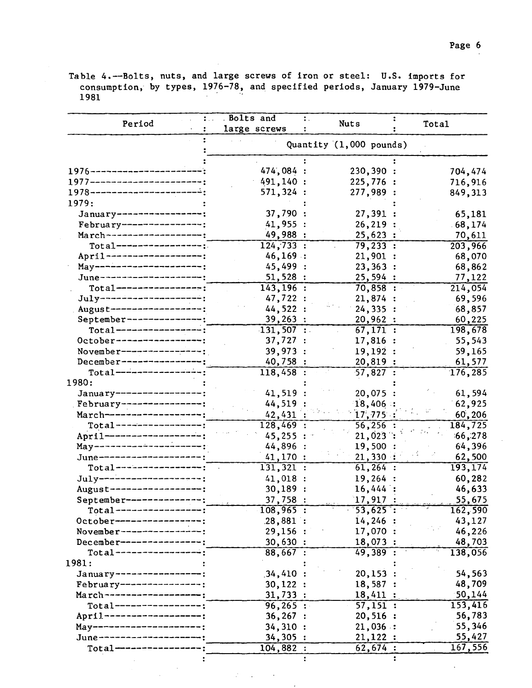Table 4.--Bolts, nuts, and large screws of iron or steel: U.S. imports for consumption, by types,  $1976-78$ , and specified periods, January 1979-June 1981 1981

| Period                            | Bolts and<br>$\mathbf{1}$<br>large screws | <b>Nuts</b>             | Total   |
|-----------------------------------|-------------------------------------------|-------------------------|---------|
|                                   |                                           | Quantity (1,000 pounds) |         |
| $1976 - - - - - - - - - - -$      | 474,084 :                                 | 230,390                 | 704,474 |
| 1977------------------            | 491,140:                                  | 225,776                 | 716,916 |
| $1978$ --------------             | 571,324 :                                 | 277,989                 | 849,313 |
| 1979:                             |                                           |                         |         |
| January----------------           | 37,790                                    | 27,391                  | 65,181  |
| February-------------             | 41,955                                    | 26,219                  | 68,174  |
| March------------------           | 49,988                                    | 25,623                  | 70,611  |
| $Total$ ----------------;         | 124, 733:                                 | 79, 233:                | 203,966 |
| April-------------------;         | 46, 169:                                  | 21,901:                 | 68,070  |
| May---------------------;         | 45,499 :                                  | 23,363:                 | 68,862  |
| June---------------------;        | 51,528:                                   | 25,594:                 | 77,122  |
| $Total-----$                      | $143, 196$ :                              | 70,858:                 | 214,054 |
| July---------------------;        | 47,722 :                                  | 21,874:                 | 69,596  |
| August------------------;         | 44,522 :                                  | 24,335:                 | 68,857  |
| September---------------          | 39,263                                    | 20,962:                 | 60,225  |
| $Total$ ----------------;         | $-131,507$ :                              | 67,171:                 | 198,678 |
| October------------------:        | 37,727                                    | 17,816:                 | 55,543  |
| November----------------:         | 39,973 :                                  | 19, 192:                | 59,165  |
| December-----------------:        | 40,758                                    | 20,819                  | 61,577  |
| $Total$ --------------            | 118,458:                                  | 57,827:                 | 176,285 |
| 1980:                             |                                           |                         |         |
| January----------------           | 41,519                                    | 20,075                  | 61,594  |
| February-----------------         | 44,519                                    | 18,406                  | 62,925  |
| March---------------              | 42,431                                    | $17,775$ :              | 60, 206 |
| $Total-----$                      | $128,469$ :                               | 56, 256:                | 184,725 |
| April --------------------;       | 45,255                                    | 21,023                  | 36,278  |
| May----------------------         | 44,896                                    | 19,500                  | 64,396  |
| June--------------------          | 41,170                                    | 21,330                  | 62,500  |
| $Total$ --------------            | 131,321:                                  | $61,264$ :              | 193,174 |
| July--------------------;         | 41,018                                    | 19,264                  | 60,282  |
| August-------------------;        | 30,189                                    | 16,444                  | 46,633  |
| September--------------;          | 37,758 :                                  | 17,917                  | 55,675  |
| $Total$ ------------------        | 108,965:                                  | $53,625$ :              | 162,590 |
| October-------------              | .28, 881:                                 | 14,246                  | 43,127  |
| November-------------             | 29,156:                                   | 17,070:                 | 46,226  |
| December-------------             | 30,630:                                   | 18,073:                 | 48,703  |
| $Total$ --------------            | 88,667:                                   | $49,389$ :              | 138,056 |
| 1981:                             |                                           |                         |         |
| $January - - - - - - - - - - - -$ | $.34,410$ :                               | 20, 153:                | 54,563  |
| February--------------            | 30, 122:                                  | 18,587:                 | 48,709  |
| March-------------------          | $31,733$ :                                | 18,411:                 | 50,144  |
| $Total----------$                 | $96, 265$ :                               | 57, 151:                | 153,416 |
| April -------------------;        | 36, 267:                                  | 20,516:                 | 56,783  |
| May----------------------         | 34,310:                                   | 21,036:                 | 55,346  |
| June------------------            | 34,305:                                   | 21,122:                 | 55,427  |
| $Total$ -------------             | 104,882:                                  | 62,674:                 | 167,556 |
|                                   |                                           |                         |         |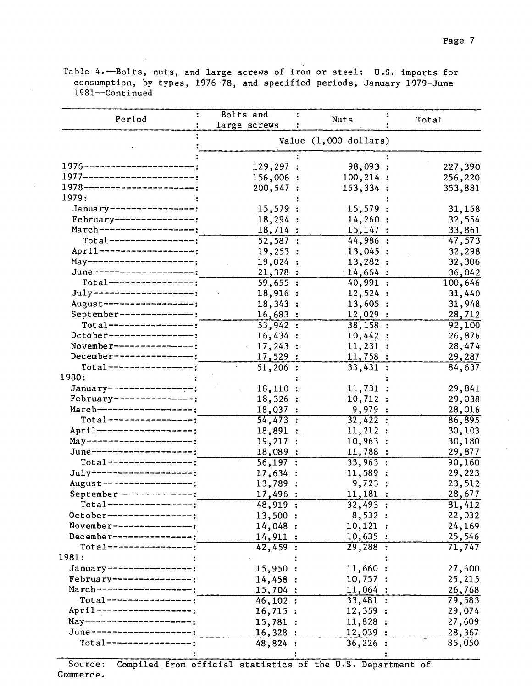Table 4.-Bolts, nuts, and large screws of iron or steel: U.S. imports for consumption, by types, 1976-78, and specified periods, January 1979-June 1981--Continued

| Period                                  | Bolts and    | Nuts                    | Total   |
|-----------------------------------------|--------------|-------------------------|---------|
|                                         | large screws |                         |         |
|                                         |              | Value $(1,000$ dollars) |         |
| 1976-------------------                 | 129,297      | 98,093 :                | 227,390 |
| 1977-------------------                 | 156,006      | $100, 214$ :            | 256,220 |
| 1978-----------------                   | 200,547      | 153,334 :               | 353,881 |
| 1979:                                   |              |                         |         |
| January---------------                  | 15,579:      | 15,579                  | 31,158  |
| February-------------                   | 18,294:      | 14,260:                 | 32,554  |
| $March$ ----------------                | 18,714:      | 15,147:                 | 33,861  |
| $Total$ -----------------;              | 52,587:      | 44,986 :                | 47, 573 |
| April -------------------;              | 19,253:      | 13,045:                 | 32,298  |
| May----------------------:              | 19,024:      | 13,282:                 | 32,306  |
| June------------------                  | 21,378       | $14,664$ :              | 36,042  |
| $Total-----$                            | 59,655:      | 40,991:                 | 100,646 |
| July------------------                  | 18,916:      | 12,524:                 | 31,440  |
| August-------------------:              | 18,343       | 13,605:                 | 31,948  |
| September---------------                | 16,683       | 12,029                  | 28,712  |
| $Tot al$ --------------                 | 53,942 :     | 38, 158:                | 92,100  |
| October--------------                   | 16,434:      | 10,442:                 | 26,876  |
| November---------------:                | 17,243:      | $11, 231$ :             | 28,474  |
| December-----------                     | 17,529       | 11,758:                 | 29,287  |
| $Total-----$                            | 51,206:      | 33,431:                 | 84,637  |
| 1980:                                   |              |                         |         |
| January--------------                   | 18,110:      | 11,731:                 | 29,841  |
| February----------------                | 18,326       | 10,712                  | 29,038  |
| March------------------                 | 18,037       | 9,979                   | 28,016  |
| Total-----------------:                 | 54,473:      | 32,422:                 | 86,895  |
| April --------------------              | 18,891       | 11, 212:                | 30,103  |
| $May - - - - - - - - - - - - - - - - 2$ | 19,217       | 10,963:                 | 30,180  |
| June--------------------                | 18,089       | $11,788$ :              | 29,877  |
| $Total$ --------------                  | 56, 197:     | 33,963:                 | 90,160  |
| July--------------------;               | 17,634       | 11,589                  | 29,223  |
| August------------------;               | 13,789       | 9,723                   | 23,512  |
| September ---------------:              | 17,496       | 11,181                  | 28,677  |
| $Total-----$                            | 48,919:      | 32,493:                 | 81,412  |
| October------------                     | 13,500:      | 8,532:                  | 22,032  |
| November------------                    | $14,048$ :   | $10,121$ :              | 24,169  |
| $December------------$                  | 14,911:      | 10,635:                 | 25,546  |
| $Total$ -------------                   | 42,459:      | 29,288:                 | 71,747  |
| 1981:                                   |              |                         |         |
| January---------------                  | 15,950:      | 11,660:                 | 27,600  |
| February-------------                   | 14,458:      | $10,757$ :              | 25,215  |
| March----------------                   | 15,704:      | $11,064$ :              | 26,768  |
| $Total$ ---------------                 | 46, 102:     | 33,481:                 | 79,583  |
| April ------------------                | 16,715:      | 12,359:                 | 29,074  |
| May--------------------                 | 15,781:      | 11,828                  | 27,609  |
| June------------------                  | 16,328:      | 12,039:                 | 28,367  |
| $Total$ -------------                   | 48,824 :     | $36, 226$ :             | 85,050  |
|                                         |              |                         |         |

Source: Compiled from official statistics of the U.S. Department of Commerce.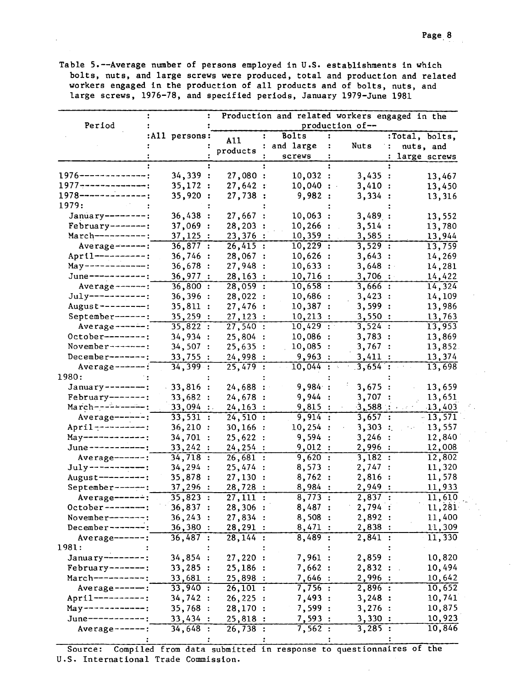Table 5.--Average number of persons employed in U.S. establishments in which bolts, nuts, and large screws were produced, total and production and related workers engaged in the production of all products and of bolts, nuts, and large screws, 1976-78, and specified periods, January 1979-June 1981

|                                                                                      |                    |                       |                  | Production and related workers engaged in the |                                  |
|--------------------------------------------------------------------------------------|--------------------|-----------------------|------------------|-----------------------------------------------|----------------------------------|
| Period                                                                               |                    |                       |                  | production of--                               |                                  |
|                                                                                      | :All persons:      | $\ddot{\cdot}$<br>A11 | <b>Bolts</b>     | $\ddot{\phantom{a}}$                          | :Total, bolts,                   |
|                                                                                      |                    | products              | and large        | Nuts<br>÷<br>÷.                               | nuts, and                        |
|                                                                                      |                    |                       | screws           |                                               | : large_screws                   |
|                                                                                      |                    |                       |                  |                                               |                                  |
| $1976$ --------------;                                                               | 34,339:            | 27,080:               | 10,032:          | 3,435:                                        | 13,467                           |
| 1977--------------:                                                                  | 35,172:            | 27,642:               | $10,040$ :       | 3,410:                                        | 13,450                           |
| $1978$ --------------:                                                               | 35,920:            | 27,738                | 9,982:           | 3,334:                                        | 13,316                           |
| 1979:                                                                                |                    |                       |                  |                                               |                                  |
| January--------:                                                                     | 36,438:            | 27,667:               | 10,063:          | 3,489:                                        | 13,552                           |
| $February \rightarrow \rightarrow \rightarrow \rightarrow \rightarrow \rightarrow$ : | 37,069 :           | 28, 203:              | $10,266$ :       | 3,514:<br>$\mathcal{L}^{\mathcal{L}}$         | 13,780                           |
| $March-----$                                                                         | 37,125:            | 23,376:               | 10,359:          | 3,585:                                        | 13,944                           |
| Average-------:                                                                      | 36,877:            | 26,415:               | 10,229:          | 3,529:                                        | 13,759                           |
| April ----------:                                                                    | 36,746:            | 28,067:               | 10,626:          | 3,643:                                        | 14,269                           |
| $May - - - - - - - - - - :$                                                          | 36,678:            | 27,948:               | 10,633:          | $3,648$ :                                     | 14,281                           |
| June-----------:                                                                     | 36,977:            | 28, 163:              | 10,716:          | 3,706:                                        | 14,422                           |
| Average ------:                                                                      | 36,800:            | 28,059:               | 10,658:          | $3,666$ :                                     | 14,324                           |
| $July-----$                                                                          | 36,396:            | 28,022 :              | 10,686:          | 3,423:                                        | 14,109                           |
| August---------:                                                                     | 35,811:            | 27,476:               | 10,387:          | 3,599:                                        | 13,986                           |
| September------:                                                                     | 35,259:            | 27, 123:              | 10,213:          | 3,550:                                        | 13,763                           |
| $Average-----$                                                                       | 35,822:            | $\overline{27,540}$ : | $10,429$ :       | 3,524:                                        | 13,953                           |
| $October------:$                                                                     | 34,934 :           | 25,804                | 10,086:          | 3,783:                                        | 13,869                           |
| November-------:                                                                     | 34,507:            | 25,635:               | 10,085:          | 3,767:                                        | 13,852                           |
| December-------:                                                                     | 33,755:            | 24,998                | 9,963            | 3,411:                                        | 13,374                           |
| $Average-----:$                                                                      | 34,399:            | $\overline{25,479}$ : | $10,044$ :       | 3,654:                                        | 13,698                           |
| 1980:                                                                                |                    |                       |                  |                                               |                                  |
| January ---------:                                                                   | $-33,816$ :        | 24,688:               | 9,984:           | 3,675:                                        | 13,659<br><b>Contractor</b>      |
| February-------:                                                                     | 33,682:            | 24,678:               | 9,944:           | 3,707:                                        | 13,651                           |
| $March------:$                                                                       | $33,094$ :         | 24, 163:              | 9,815:           | $3,588$ :                                     | $-13,403$                        |
| Average ------:                                                                      | 33,531:            | 24,510:               | 9,914:           | 3,657:                                        | $-13,571$                        |
| April -----------:                                                                   | 36,210:            | $30, 166$ :           | 10, 254:         | 3,303:                                        | 13,557<br>$\gamma_{\alpha\beta}$ |
| $May-----------:$                                                                    | 34,701 :           | 25,622:               | 9,594:           | 3,246:                                        | 12,840                           |
| June-----------:                                                                     | 33,242:            | 24, 254:              | 9,012:           | 2,996:                                        | 12,008                           |
| Average -------:                                                                     | 34,718:            | 26,681:               | 9,620:           | $\overline{3,182}$ :                          | 12,802                           |
| $July-----:$                                                                         | 34, 294 :          | 25,474:               | 8,573:           | 2,747:                                        | 11,320                           |
| August---------:                                                                     | 35,878:            | 27,130:               | 8,762:           | 2,816:                                        | 11,578                           |
| September------:                                                                     | 37,296:            | 28,728:               | 8,984 :          | 2,949:                                        | 11,933                           |
| Average ------:                                                                      | 35,823 :           | 27,111:               | 8,773:           | 2,837:                                        | 11,610                           |
| $October --- --- -$                                                                  | 36,837:            | 28,306:               | 8,487:           | 2,794 :                                       | 11,281                           |
| November-------:                                                                     | $36, 243$ :        | 27,834 :              | 8,508:           | 2,892:                                        | 11,400                           |
| December-------:                                                                     | 36,380:            | 28, 291:              | 8,471:           | 2,838:                                        | 11,309                           |
| Average ------:                                                                      | 36,487:            | 28,144:               | 8,489:           | 2,841:                                        | 11,330                           |
| 1981:                                                                                |                    |                       |                  |                                               |                                  |
| $January-----$                                                                       | 34,854:            | 27,220:               | 7,961:           | 2,859 :                                       | 10,820                           |
| February-------:                                                                     | 33,285:            | 25,186:               | 7,662:           | 2,832:                                        | 10,494<br>$\sim$                 |
| March----------:                                                                     | 33,681:            | 25,898:               | 7,646:           | 2,996:                                        | 10,642                           |
| Average-----                                                                         | 33,940:            | 26,101:               | 7,756:           | 2,896:                                        | 10,652                           |
| April -----------:                                                                   | 34,742:            | 26, 225:              | 7,493:           | 3,248:                                        | 10,741                           |
| $May - - - - - - - - - -$ :                                                          | 35,768:            | 28,170:               | 7,599:           | 3,276:                                        | 10,875                           |
|                                                                                      |                    |                       |                  |                                               | 10,923                           |
| June---------<br>Average ------:                                                     | 33,434:<br>34,648: | 25,818:<br>26,738:    | 7,593:<br>7,562: | 3,330:<br>3,285:                              | 10,846                           |
|                                                                                      |                    |                       |                  |                                               |                                  |
|                                                                                      |                    |                       |                  |                                               |                                  |

Source: Compiled from data submitted in response to questionnaires of the U.S. International Trade Commission.

 $\mathbb{R}^2$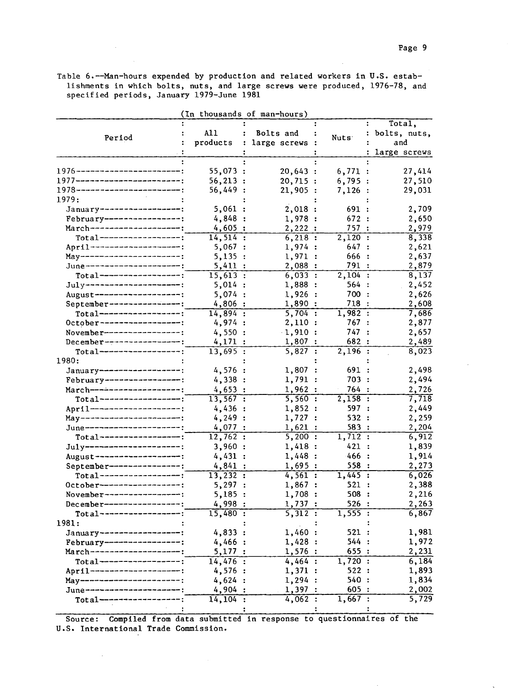Table 6.--Man-hours expended by production and related workers in U.S. establishments in which bolts, nuts, and large screws were produced, 1976-78, and specified periods, January 1979-June 1981

|                                                                                                                                                         |                               | (In thousands of man-hours) |                         |              |
|---------------------------------------------------------------------------------------------------------------------------------------------------------|-------------------------------|-----------------------------|-------------------------|--------------|
|                                                                                                                                                         | ÷                             |                             | $\ddot{\phantom{a}}$    | Total,       |
| Period                                                                                                                                                  | All.                          | Bolts and                   | Nuts <sup>-</sup>       | bolts, nuts, |
|                                                                                                                                                         | products<br>:                 | large screws                |                         | and          |
|                                                                                                                                                         |                               |                             |                         | large screws |
|                                                                                                                                                         |                               |                             |                         |              |
| 1976-------------------------                                                                                                                           | 55,073:                       | 20,643:                     | 6,771:                  | 27,414       |
| 1977----------------------                                                                                                                              | 56, 213:                      | 20,715:                     | 6,795:                  | 27,510       |
| 1978-----------------                                                                                                                                   | 56,449:                       | 21,905:                     | 7,126<br>- :            | 29,031       |
| 1979:                                                                                                                                                   |                               |                             |                         |              |
| January------------------;                                                                                                                              | $5,061$ :                     | 2,018:                      | 691 :                   | 2,709        |
| February-----------------;                                                                                                                              | 4,848:                        | 1,978:                      | 672:                    | 2,650        |
| March--------------------                                                                                                                               | 4,605:                        | 2,222:                      | 757:                    | 2,979        |
| $Total$ ------------------;                                                                                                                             | 14,514:                       | 6,218:                      | 2,120:                  | 8,338        |
| April---------------------                                                                                                                              | 5,067:                        | 1,974                       | 647 :<br>÷              | 2,621        |
| May----------------------;                                                                                                                              | 5,135                         | 1,971                       | 666 :<br>:              | 2,637        |
| June-----------------                                                                                                                                   | 5,411:                        | 2,088                       | 791 :                   | 2,879        |
| $Total$ -----------------;                                                                                                                              | 15,613:                       | 6,033:                      | 2,104:                  | 8,137        |
| July----------------------;                                                                                                                             | 5,014:                        | 1,888:                      | 564 :                   | 2,452        |
| August-------------------;                                                                                                                              | 5,074:                        | 1,926                       | 700:<br>$\ddot{\cdot}$  | 2,626        |
| September----------------:                                                                                                                              | 4,806:                        | 1,890:                      | 718 :                   | 2,608        |
| $Total$ ------------------;                                                                                                                             | 14,894<br>$\cdot$ :           | 5,704:                      | 1,982:                  | 7,686        |
| 0ctober------------------:                                                                                                                              | 4,974:                        | 2,110:                      | 767 :                   | 2,877        |
| November-----------------:                                                                                                                              | 4,550:                        | $-1,910:$                   | 747:                    | 2,657        |
| December---------------                                                                                                                                 | 4,171                         | 1,807:                      | 682:                    | 2,489        |
|                                                                                                                                                         | 13,695:                       | 5,827:                      | 2,196:                  | 8,023        |
| 1980:                                                                                                                                                   |                               |                             |                         |              |
| January ------------------:                                                                                                                             | 4,576:                        | $1,807$ :                   | 691 :                   | 2,498        |
| February-----------------                                                                                                                               | 4,338:                        | 1,791:                      | 703:                    | 2,494        |
| March--------------------;                                                                                                                              | 4,653:                        | 1,962:                      | 764:                    | 2,726        |
| Total------------------:                                                                                                                                | 13,567:                       | 5,560:                      | 2,158:                  | 7,718        |
| April --------------------;                                                                                                                             | 4,436                         | 1,852:                      | 597 :                   | 2,449        |
| May-----------------------:                                                                                                                             | 4,249                         | 1,727:                      | 532:                    | 2,259        |
| June---------------------                                                                                                                               | $4,077$ :                     | 1,621:                      | 583:                    | 2,204        |
| Total---------------                                                                                                                                    | 12,762:                       | 5,200:                      | $\overline{1,712}$ :    | 6,912        |
| July---------------------:                                                                                                                              | 3,960:                        | 1,418:                      | 421 :                   | 1,839        |
| August-------------------:                                                                                                                              | 4,431:                        | 1,448:                      | 466 :                   | 1,914        |
| September---------------;                                                                                                                               | 4,841<br>$\ddot{\phantom{1}}$ | 1,695:                      | 558:                    | 2,273        |
| Total------------------;                                                                                                                                | 13,232:                       | 4,561:                      | 1,445:                  | 6,026        |
| 0ctober------------------                                                                                                                               | 5,297<br>$\ddot{\cdot}$       | 1,867                       | 521<br>$\ddot{\cdot}$   | 2,388        |
| November------------------:                                                                                                                             | 5,185:                        | 1,708:                      | 508:                    | 2,216        |
| December----------                                                                                                                                      | 4,998 :                       | 1,737:                      | 526:                    | 2,263        |
|                                                                                                                                                         | 15,480:                       | 5,312:                      | 1,555:                  | 6,867        |
| 1981:                                                                                                                                                   |                               |                             |                         |              |
| January----------------                                                                                                                                 | 4,833                         | 1,460:                      | 521:                    | 1,981        |
| February-----------------                                                                                                                               | 4,466:                        | 1,428:                      | 544 :                   | 1,972        |
| March-----------------                                                                                                                                  | 5,177:                        | 1,576:                      | 655:                    | 2,231        |
| $Total \rightarrow \rightarrow \rightarrow \rightarrow \rightarrow \rightarrow \rightarrow \rightarrow \rightarrow \rightarrow \rightarrow \rightarrow$ | 14,476:                       | 4,464:                      | 1,720:                  | 6,184        |
| April ---------------------                                                                                                                             | 4,576:                        | 1,371:                      | 522:                    | 1,893        |
| May--------------------                                                                                                                                 | 4,624                         | 1,294                       | 540 :<br>$\ddot{\cdot}$ | 1,834        |
| June------------------                                                                                                                                  | 4,904:                        | 1,397:                      | 605:                    | 2,002        |
| Total-                                                                                                                                                  | $\overline{14}$ , 104 :       | 4,062:                      | 1,667:                  | 5,729        |
|                                                                                                                                                         |                               |                             |                         |              |

Source: Compiled from data submitted in response to questionnaires of the U.S. International Trade Commission.

 $\bar{z}$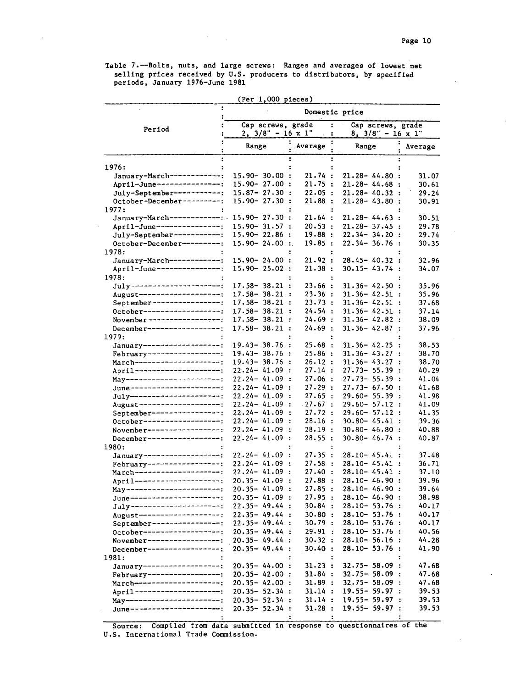Table 7.--Bolts, nuts, and large screws: Ranges and averages of lowest net selling prices received by U.S. producers to distributors, by specified periods, January 1976-June 1981

|                                                                                                                                                                                                | Domestic price                                |                                 |                                               |         |  |
|------------------------------------------------------------------------------------------------------------------------------------------------------------------------------------------------|-----------------------------------------------|---------------------------------|-----------------------------------------------|---------|--|
| Period                                                                                                                                                                                         | Cap screws, grade<br>$2, 3/8" - 16 \times 1"$ | :<br>$\ddot{\phantom{a}}$       | Cap screws, grade<br>$8, 3/8" - 16 \times 1"$ |         |  |
|                                                                                                                                                                                                | Range                                         | $\ddot{\cdot}$<br>Average       | Range                                         | Average |  |
| 1976:                                                                                                                                                                                          |                                               |                                 |                                               |         |  |
| January-March -------------:                                                                                                                                                                   | $15.90 - 30.00$ :                             | 21.74:                          | $21.28 - 44.80$ :                             | 31.07   |  |
| April-June---------------;                                                                                                                                                                     | $15.90 - 27.00$ :                             | 21.75:                          | $21.28 - 44.68$ :                             | 30.61   |  |
| July-September------------;                                                                                                                                                                    | $15.87 - 27.30$ :                             | 22.05:                          | $21.28 - 40.32$ :                             | 29.24   |  |
| October-December---------:                                                                                                                                                                     | $15.90 - 27.30$ :                             | 21.88:                          | $21.28 - 43.80$ :                             | 30.91   |  |
| 1977:                                                                                                                                                                                          |                                               |                                 |                                               |         |  |
| January-March------------:.                                                                                                                                                                    | $15.90 - 27.30$ :                             | 21.64:                          | 21.28- 44.63 :                                | 30.51   |  |
| April-June----------------:                                                                                                                                                                    | $15.90 - 31.57$<br>$\cdot$ :                  | 20.53:                          | $21.28 - 37.45$ :                             | 29.78   |  |
| July-September-----------:                                                                                                                                                                     | $15.90 - 22.86$                               | 19.88:                          | $22.34 - 34.20$ :                             | 29.74   |  |
| October-December---------;                                                                                                                                                                     | $15.90 - 24.00$ :                             | 19.85 :                         | $22.34 - 36.76$ :                             | 30.35   |  |
| 1978:                                                                                                                                                                                          |                                               |                                 |                                               |         |  |
| January-March ------------:                                                                                                                                                                    | 15.90- 24.00 :                                | 21.92:                          | $28.45 - 40.32$ :                             | 32.96   |  |
| April-June----------------;                                                                                                                                                                    | $15.90 - 25.02$ :                             | 21.38:                          | $30.15 - 43.74$ :                             | 34.07   |  |
| 1978:                                                                                                                                                                                          |                                               |                                 |                                               |         |  |
| July-----------------------;                                                                                                                                                                   | $17.58 - 38.21$ :                             | 23.66 :                         | $31.36 - 42.50$ :                             | 35.96   |  |
| August--------------------;                                                                                                                                                                    | $17.58 - 38.21$ :                             | 23.36:                          | $31.36 - 42.51$ :                             | 35.96   |  |
| September-----------------:                                                                                                                                                                    | $17.58 - 38.21$ :                             | 23.73:                          | $31.36 - 42.51$ :                             | 37.68   |  |
| October-------------------;                                                                                                                                                                    | $17.58 - 38.21$ :                             | 24.54:                          | $31.36 - 42.51$ :                             | 37.14   |  |
| November------------------                                                                                                                                                                     | $17.58 - 38.21$ :                             | 24.69:                          | $31.36 - 42.82$ :                             | 38.09   |  |
| December------------------;                                                                                                                                                                    | $17.58 - 38.21$ :                             | 24.69 :                         | $31.36 - 42.87$                               | 37.96   |  |
| 1979:                                                                                                                                                                                          |                                               | $\ddot{\cdot}$                  |                                               |         |  |
| January -------------------;                                                                                                                                                                   | $19.43 - 38.76$                               | 25.68 :<br>$\ddot{\phantom{a}}$ | $31.36 - 42.25$                               | 38.53   |  |
| February-------------------;                                                                                                                                                                   | $19.43 - 38.76$                               | 25.86:                          | $31.36 - 43.27$                               | 38.70   |  |
| March--------------------;                                                                                                                                                                     | $19.43 - 38.76$<br>. :                        | 26.12:                          | $31.36 - 43.27$ :                             | 38.70   |  |
| April---------------------;                                                                                                                                                                    | $22.24 - 41.09$ :                             | 27.14 :                         | $27.73 - 55.39$<br>$\ddot{\cdot}$             | 40.29   |  |
| May------------------------:                                                                                                                                                                   | $22.24 - 41.09$<br>$\ddot{\cdot}$             | 27.06 :                         | $27.73 - 55.39$<br>$\ddot{\cdot}$             | 41.04   |  |
| June----------------------                                                                                                                                                                     | $22.24 - 41.09$ :                             | 27.29:                          | $27.73 - 67.50$ :                             | 41.68   |  |
| July----------------------;                                                                                                                                                                    | $22.24 - 41.09$ :                             | 27.65:                          | $29.60 - 55.39$ :                             | 41.98   |  |
| August--------------------;                                                                                                                                                                    | $22.24 - 41.09$<br>$\cdot$                    | $.27.67$ :                      | $29.60 - 57.12$ :                             | 41.09   |  |
| September -----------------:                                                                                                                                                                   | 22.24- 41.09 :                                | 27.72:                          | $29.60 - 57.12$ :                             | 41.35   |  |
| October-------------------;                                                                                                                                                                    | $22.24 - 41.09$ :                             | 28.16 :                         | $30.80 - 45.41$ :                             | 39.36   |  |
| November-----------<br>------                                                                                                                                                                  | $22.24 - 41.09$ :                             | 28.19:                          | $30.80 - 46.80$ :                             | 40.88   |  |
| $December \rightarrow \rightarrow \rightarrow \rightarrow \rightarrow \rightarrow \rightarrow \rightarrow \rightarrow \rightarrow \rightarrow \rightarrow \rightarrow \rightarrow \rightarrow$ | $22.24 - 41.09$ :                             | 28.55 :                         | $30.80 - 46.74$ :                             | 40.87   |  |
| 1980:                                                                                                                                                                                          |                                               |                                 |                                               |         |  |
| January-------------------;                                                                                                                                                                    | $22.24 - 41.09$ :                             | 27.35                           | $28.10 - 45.41$ :                             | 37.48   |  |
| February------------------;                                                                                                                                                                    | $22.24 - 41.09$ :                             | 27.58<br>$\ddot{\phantom{a}}$   | 28.10- 45.41 :                                | 36.71   |  |
| March---------------------;                                                                                                                                                                    | $22.24 - 41.09$ :                             | 27.40<br>$\ddot{\cdot}$         | $28.10 - 45.41$ :                             | 37.10   |  |
| April ---------------------;                                                                                                                                                                   | $20.35 - 41.09$ :                             | 27.88                           | $28.10 - 46.90$ :                             | 39.96   |  |
| May------------------------;                                                                                                                                                                   | $20.35 - 41.09$ :                             | 27.85:                          | $28.10 - 46.90$ :                             | 39.64   |  |
| June----------------------;                                                                                                                                                                    | $20.35 - 41.09$ :                             | 27.95 :                         | $28.10 - 46.90:$                              | 38.98   |  |
| July----------------------;                                                                                                                                                                    | $22.35 - 49.44$ :                             | 30.84:                          | $28.10 - 53.76$ :                             | 40.17   |  |
| August-------------------;                                                                                                                                                                     | $22.35 - 49.44$ :                             | 30.80:                          | $28.10 - 53.76$ :                             | 40.17   |  |
| September -----------------:                                                                                                                                                                   | $22.35 - 49.44$ :                             | 30.79:                          | $28.10 - 53.76$ :                             | 40.17   |  |
| October-------------------:                                                                                                                                                                    | $20.35 - 49.44$ :                             | 29.91:                          | $28.10 - 53.76$ :                             | 40.56   |  |
| November------------------:                                                                                                                                                                    | $20.35 - 49.44$ :                             | 30.32 :                         | $28.10 - 56.16$ :                             | 44.28   |  |
| December------------------;                                                                                                                                                                    | $20.35 - 49.44$ :                             | 30.40:                          | $28.10 - 53.76$ :                             | 41.90   |  |
| 1981:                                                                                                                                                                                          |                                               | $\ddot{\phantom{a}}$            |                                               |         |  |
| January-------------------;                                                                                                                                                                    | $20.35 - 44.00$ :                             | 31.23:                          | $32.75 - 58.09$ :                             | 47.68   |  |
| February------------------:                                                                                                                                                                    | $20.35 - 42.00$ :                             | 31.84:                          | $32.75 - 58.09$ :                             | 47.68   |  |
| March---------------------;                                                                                                                                                                    | $20.35 - 42.00$ :                             | 31.89:                          | $32.75 - 58.09$ :                             | 47.68   |  |
| April----------------------;                                                                                                                                                                   | $20.35 - 52.34$ :                             | 31.14:                          | $19.55 - 59.97$ :                             | 39.53   |  |
| May------------------------;                                                                                                                                                                   | $20.35 - 52.34$ :                             | 31.14:                          | $19.55 - 59.97:$                              | 39.53   |  |
| June----------------------                                                                                                                                                                     | $20.35 - 52.34$ :                             | 31.28:                          | $19.55 - 59.97:$                              | 39.53   |  |

(Per 1,000 pieces)

Source: Compiled from data submitted in response to questionnaires of the U.S. International Trade Commission.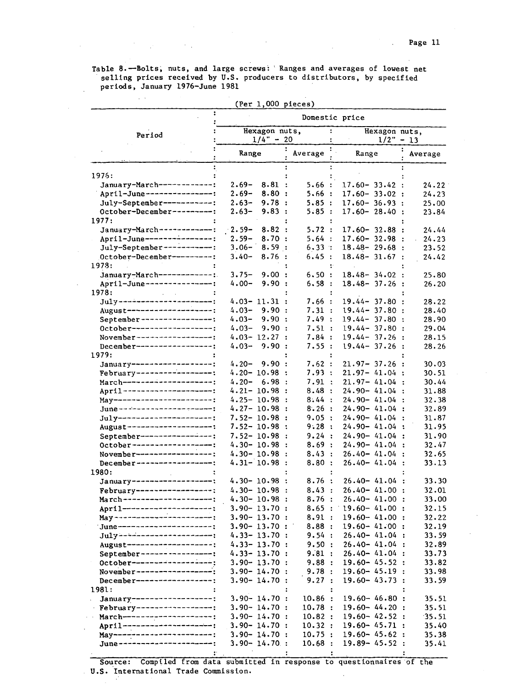Table 8.-Bolts; nuts, and large screws:' Ranges and averages of lowest net selling prices received by U.S. producers to distributors, by specified periods, January 1976-June 1981

 $\mathbb{Z}^{\times}$  .

| Domestic price                                               |                                    |                                        |                |                                         |                |
|--------------------------------------------------------------|------------------------------------|----------------------------------------|----------------|-----------------------------------------|----------------|
| Period                                                       | Hexagon nuts,<br>$1/4" - 20$       |                                        | :              | Hexagon nuts,<br>$1/2" - 13$            |                |
|                                                              | Range                              |                                        | Average        | Range                                   | Average        |
| 1976:                                                        |                                    |                                        |                |                                         |                |
| January-March------------:                                   | $2.69 -$<br>8.81 :                 |                                        | 5.66:          | $17.60 - 33.42$ :                       | 24.22          |
| April-June----------------:                                  | $2.69-$<br>8.80:                   |                                        | 5.66:          | $17.60 - 33.02$ :                       | 24.23          |
| July-September-----------:                                   | $2.63-$<br>9.78 :                  |                                        | 5.85:          | $17.60 - 36.93$ :                       | 25.00          |
| October-December----------:                                  | $2.63-$<br>9.83:                   |                                        | 5.85:          | $17.60 - 28.40$<br>$\ddot{\phantom{1}}$ | 23.84          |
| 1977:                                                        |                                    |                                        |                |                                         |                |
| January-March-------------:                                  | 8.82:<br>$-2.59-$                  |                                        | 5.72 :         | $17.60 - 32.88$ :                       | 24.44          |
| April-June----------------;                                  | $2.59 -$<br>8.70:                  |                                        | 5.64:          | $17.60 - 32.98$<br>$\ddot{\cdot}$       | 24.23          |
| July-September-----------:                                   | $3.06 -$<br>8.59:                  |                                        | 6.33:          | $18.48 - 29.68$ :                       | 23.52          |
| October-December---------:                                   | $3.40 -$<br>8.76:                  |                                        | 6.45:          | $18.48 - 31.67$ :                       | 24.42          |
| 1978:                                                        |                                    |                                        |                |                                         |                |
| January-March-------------:                                  | $3.75-$<br>9.00:                   |                                        | 6.50:          | $18.48 - 34.02$ :                       | 25.80          |
| April-June----------------:                                  | $4.00 -$<br>9.90:                  |                                        | 6.58:          | $18.48 - 37.26$ :                       | 26.20          |
| 1978:                                                        |                                    |                                        |                |                                         |                |
| $July - - - - - - - - - - - - - - :$                         | $4.03 - 11.31$ :                   |                                        | 7.66:          | $19.44 - 37.80$ :                       | 28.22          |
| August--------------------;                                  | $4.03 -$<br>9.90:                  |                                        | 7.31:          | $19.44 - 37.80:$                        | 28.40          |
| September ------------------:                                | $4.03 -$<br>9.90:                  |                                        | 7.49:          | $19.44 - 37.80$ :                       | 28.90          |
| October-------------------:                                  | $4.03 -$<br>9.90:                  |                                        | 7.51:          | $19.44 - 37.80$ :                       | 29.04          |
| November -------------------                                 | $4.03 - 12.27$ :                   |                                        | 7.84:          | $19.44 - 37.26$ :                       | 28.15          |
| December-------------------                                  | $4.03 -$<br>9.90:                  |                                        | 7.55:          | $19.44 - 37.26$ :                       | 28.26          |
| 1979:                                                        |                                    |                                        |                |                                         |                |
| January-------------------:                                  | $4.20 -$<br>9.90:                  |                                        | 7.62:          | $21.97 - 37.26$ :                       | 30.03          |
| February------------------                                   | $4.20 - 10.98$ :                   |                                        | 7.93:          | $21.97 - 41.04$ :                       | 30.51          |
| March---------------------;                                  | $4.20 -$<br>6.98:                  |                                        | 7.91 :         | $21.97 - 41.04$ :                       | 30.44          |
| April ----------------------:<br>May-----------------------; | $4.21 - 10.98$ :                   |                                        | 8.48:          | $24.90 - 41.04$ :                       | 31.88          |
| June---------------------;                                   | $4.25 - 10.98$ :<br>$4.27 - 10.98$ | $\mathbf{R}$                           | 8.44:<br>8.26: | $24.90 - 41.04$ :<br>$24.90 - 41.04$ :  | 32.38          |
| July-----------------------:                                 | $7.52 - 10.98$                     |                                        |                | $24.90 - 41.04$ :                       | 32.89<br>31.87 |
| August---------------------;                                 | $7.52 - 10.98$                     | $\ddot{\cdot}$<br>$\ddot{\phantom{1}}$ | 9.05:<br>9.28: | 24.90- 41.04 :                          | 31.95          |
| September-----------------:                                  | $7.52 - 10.98$ :                   |                                        | 9.24:          | $24.90 - 41.04$ :                       | 31.90          |
| October -------------------                                  | $4.30 - 10.98$ :                   |                                        | 8.69:          | $24.90 - 41.04$ :                       | 32.47          |
| November------------------:                                  | $4.30 - 10.98$                     | $\ddot{\phantom{a}}$                   | 8.43:          | $26.40 - 41.04$ :                       | 32.65          |
| December -------------------                                 | $4.31 - 10.98$                     | $\cdot$ :                              | 8.80:          | $26.40 - 41.04$ :                       | 33.13          |
| 1980:                                                        |                                    |                                        |                |                                         |                |
| January--------------------                                  | $4.30 - 10.98$ :                   |                                        | $8.76$ :       | $26.40 - 41.04$ :                       | 33.30          |
| February------------------;                                  | $4.30 - 10.98$                     | $\ddot{\phantom{a}}$                   | 8.43:          | $26.40 - 41.00$ :                       | 32.01          |
| March---------------------                                   | $4.30 - 10.98$                     |                                        | 8.76           | $26.40 - 41.00$                         | 33.00          |
| April ----------------------;                                | $3.90 - 13.70$ :                   |                                        |                | $8.65 : 19.60 - 41.00 :$                | 32.15          |
| ----<br>May ------------------------                         | $3.90 - 13.70$ :                   |                                        | 8.91:          | $19.60 - 41.00$ :                       | 32.22          |
| June----------------------;                                  | $3.90 - 13.70$ :                   |                                        | 8.88:          | $19.60 - 41.00$ :                       | 32.19          |
| July-----------------------                                  | $4.33 - 13.70$ :                   |                                        | 9.54 :         | $26.40 - 41.04$ :                       | 33.59          |
| August---------------------                                  | $4.33 - 13.70$ :                   |                                        | 9.50 :         | $26.40 - 41.04$ :                       | 32.89          |
| September------------------                                  | $4.33 - 13.70$ :                   |                                        | 9.81 :         | $26.40 - 41.04$ :                       | 33.73          |
| 0ctober-------------------                                   | $3.90 - 13.70$ :                   |                                        | 9.88:          | $19.60 - 45.52$ :                       | 33.82          |
| November-------------------                                  | $3.90 - 14.70$ :                   |                                        | 9.78:          | $19.60 - 45.19$ :                       | 33.98          |
| December-------------------                                  | $3.90 - 14.70$ :                   |                                        | 9.27:          | $19.60 - 43.73$ :                       | 33.59          |
| 1981:                                                        |                                    | $\ddot{\cdot}$                         | :              |                                         |                |
| January-------------------;                                  | $3.90 - 14.70$ :                   |                                        | 10.86 :        | $19.60 - 46.80$ :                       | 35.51          |
| February------------------                                   | $3.90 - 14.70$ :                   |                                        | 10.78:         | $19.60 - 44.20$ :                       | 35.51          |
| March---------------------;                                  | $3.90 - 14.70$ :                   |                                        | 10.82 :        | $19.60 - 42.52$ :                       | 35.51          |
| April ----------------------;                                | $3.90 - 14.70$ :                   |                                        | 10.32 :        | $19.60 - 45.71$ :                       | 35.40          |
| May------------------------                                  | $3.90 - 14.70$ :                   |                                        | 10.75:         | $19.60 - 45.62$ :                       | 35.38          |
| June-----------------------                                  | $3.90 - 14.70$ :                   |                                        | 10.68:         | $19.89 - 45.52$ :                       | 35.41          |
|                                                              |                                    | ÷                                      |                |                                         |                |

(Per 1,000 pieces)

Source: Compiled from data submitted in response to questionnaires of the U.S. International Trade Commission.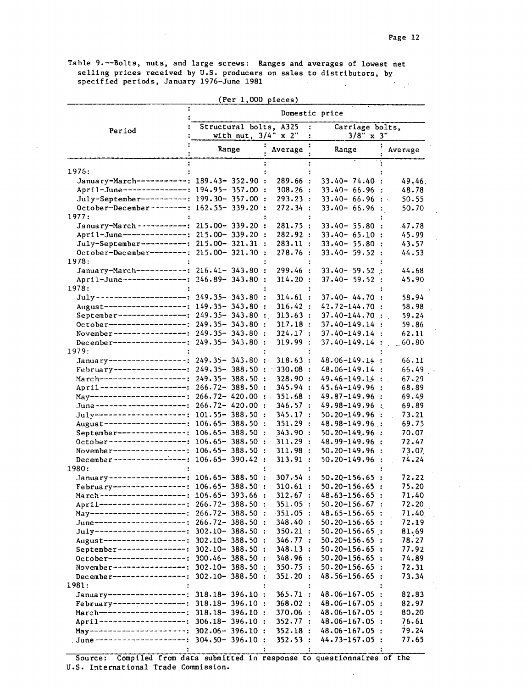Table 9.--Bolts, nuts, and large screws: Ranges and averages of lowest net selling prices received by U.S. producers on sales to distributors, by specified periods, January 1976-June 1981

 $\bullet$ Domestic price Structural bolts, A325  $\cdot$ Carriage bolts,  $\ddot{\cdot}$ Period with nut,  $3/4$ "  $\times$  2" 3/8" x 3" Range Average Range Mverage 1976: January-March-----------: 189.43- 352.90: 289.66  $33.40 - 74.40$  : 49.46. April-June---------------: 194.95-357.00: 308.26  $33.40 - 66.96$  : 48.78 July-September-----------: 199.30- 357.00: 293.23  $33.40 - 66.96$  : 50.55 October-December---------: 162.55- 339.20 : 272.34  $33.40 - 66.96$  : 50.70 1977: January-March-----------: 215.00- 339.20: 281.75  $33.40 - 55.80$  : 47.78 April-June---------------: 215.00- 339.20 : 282.92  $33.40 - 65.10$  : 45.99 July-September-----------: 215.00- 321.31 : 283.11  $33.40 - 55.80$  :  $43.57$ October-December--------: 215.00- 321.30 : 278.76  $33.40 - 59.52 : 44.53$ 1978: January-March-----------: 216.41- 343.80: 299.46  $33.40 - 59.52$  :  $44.68$ April-June--------------: 246.89- 343.80 : 314.20  $37.40 - 59.52 : 45.90$ 1978: July----------------------: 249.35- 343.80 : 314.61 37.40- 44.70 58.94 August-------------------: 149.35- 343.80 : 316.42 42.72-144.70 : 58.98 September----------------: 249.35- 343.80 : 313.63 37 .40-144. 70. : 59.24 October-----------------: 249.35- 343.80 : 317.18 37.40-149.14 59. 86 November----------------: 249.35- 343.80 : 324.17  $37.40 - 149.14 : 62.11$ December----------------: 249.35- 343.80 : 319.99  $37.40 - 149.14$  : 60.80 1979: January-----------------: 249.35- 343.80 : 318.63 48.06-149.14 66.11 February-----------------: 249.35- 388.50 : 330.08 : 48.06-149.14 : 66.49 March-------------------: 249.35- 388.50 : 328.90 : 49.46-149.14 : 67.29 April---------------------: 266.72- 388.50 : 345.94  $345.94 : 45.64 - 149.96 : 68.89$ May---------------------: 266.72- 420.00 : 351.68 : 49.87-149.96 : 69.49 June----------------------: 266.72- 420.00 : 346.57 : 49.98-149.96 : 69.89 July---------------------: 101.55- 388.50 : 345.17 : 50.20-149.96 : 73.21 August--------------------: 106.65- 388.50 : 351.29 : 48.98-149.96 : 69.75 September---------------: 106.65- 388.50 : 343.90 343.90 : 50.20-149.96 : 70.07<br>311.29 : 48.99-149.96 : 72.47 October------------------: 106.65- 388.50 : 311.29 48.99-149.96 : 72.47<br>50.20-149.96 : 73.07 November----------------: 106.65- 388.50 : 311.98  $50.20 - 149.96$ : December------------~---: 106.65- 390.42 313. 91 50.20-149.96 74.24 1980: January------------------: 106.65- 388.50 : 307.54  $50.20 - 156.65$  : 72.22<br> $50.20 - 156.65$  : 75.20 February----------------: 106.65- 388.50: 310.61  $50.20 - 156.65$ : March-------------------: 106.65- 393.66 : 312.67 48.63-156.65 71.40 April--------------------: 266.72- 388.50 : 351.05 50.20-156.67 72.20 May-----------------------: 266.72- 388.50 : 351.05 48.65-156.65 71.40 June---------------------: 266.72- 388.50 : 348.40 50.20-156.65 72.19 July----------------------: 302.10- 388.50 : 350.21  $50.20 - 156.65$  : 81.69 August------------------: 302.10- 388.50 : 346.77  $50.20-156.65$  : 78.27<br> $50.20-156.65$  : 77.92 September----------------: 302.10- 388.50 : 348.13  $50.20 - 156.65$  : 77.92<br> $50.20 - 156.65$  : 74.89 0ctober-----------------: 300.46- 388.50: 348.96  $50.20 - 156.65$ : November-----------------: 302.10- 388.50 : 350.75  $50.20 - 156.65$  : 72.31 December-----------------: 302.10- 388.50 : 351.20 48.56-156.65 73.34 1981: January-----------------: 318.18- 396.10: 365.71  $48.06 - 167.05$  : 82.83 February------------------: 318.18- 396.10 : 368.02 48.06-167.05 : 82.97 March~-----------------: 318.18- 396.10 370.06 48.06-167.05 80.20 April--------------------: 306.18- 396.10 : 352.77 48.06-167.05 : 76.61 May----------------------: 302.06- 396.10 : 352.18  $48.06 - 167.05$  : 79.24 . June----------------------: 304.50- 396.10 : 352.53 44.73-167.05 77.65

Source: Compiled from data submitted in response to questionnaires of the U.S. International Trade Commission.

(Per 1,000 pieces)